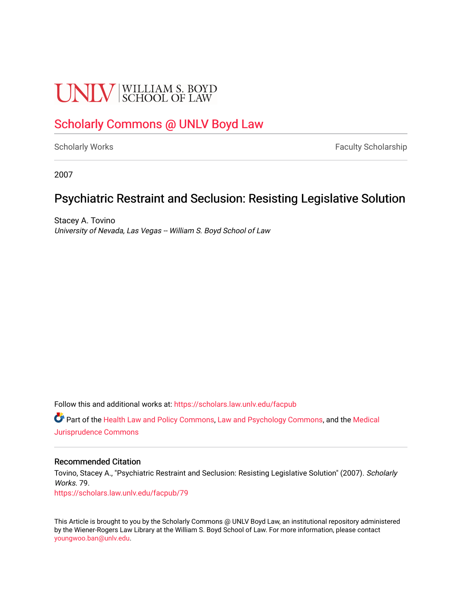# **UNIV** SCHOOL OF LAW

# [Scholarly Commons @ UNLV Boyd Law](https://scholars.law.unlv.edu/)

[Scholarly Works](https://scholars.law.unlv.edu/facpub) **Faculty Scholarship** Faculty Scholarship

2007

## Psychiatric Restraint and Seclusion: Resisting Legislative Solution

Stacey A. Tovino University of Nevada, Las Vegas -- William S. Boyd School of Law

Follow this and additional works at: [https://scholars.law.unlv.edu/facpub](https://scholars.law.unlv.edu/facpub?utm_source=scholars.law.unlv.edu%2Ffacpub%2F79&utm_medium=PDF&utm_campaign=PDFCoverPages)

Part of the [Health Law and Policy Commons](http://network.bepress.com/hgg/discipline/901?utm_source=scholars.law.unlv.edu%2Ffacpub%2F79&utm_medium=PDF&utm_campaign=PDFCoverPages), [Law and Psychology Commons,](http://network.bepress.com/hgg/discipline/870?utm_source=scholars.law.unlv.edu%2Ffacpub%2F79&utm_medium=PDF&utm_campaign=PDFCoverPages) and the [Medical](http://network.bepress.com/hgg/discipline/860?utm_source=scholars.law.unlv.edu%2Ffacpub%2F79&utm_medium=PDF&utm_campaign=PDFCoverPages) [Jurisprudence Commons](http://network.bepress.com/hgg/discipline/860?utm_source=scholars.law.unlv.edu%2Ffacpub%2F79&utm_medium=PDF&utm_campaign=PDFCoverPages) 

### Recommended Citation

Tovino, Stacey A., "Psychiatric Restraint and Seclusion: Resisting Legislative Solution" (2007). Scholarly Works. 79. [https://scholars.law.unlv.edu/facpub/79](https://scholars.law.unlv.edu/facpub/79?utm_source=scholars.law.unlv.edu%2Ffacpub%2F79&utm_medium=PDF&utm_campaign=PDFCoverPages) 

This Article is brought to you by the Scholarly Commons @ UNLV Boyd Law, an institutional repository administered by the Wiener-Rogers Law Library at the William S. Boyd School of Law. For more information, please contact [youngwoo.ban@unlv.edu.](mailto:youngwoo.ban@unlv.edu)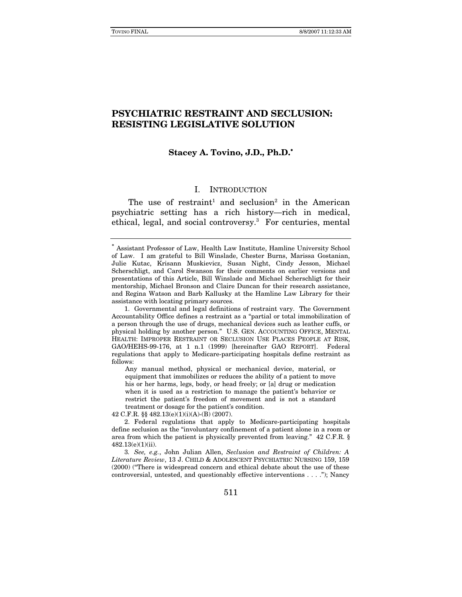### **PSYCHIATRIC RESTRAINT AND SECLUSION: RESISTING LEGISLATIVE SOLUTION**

#### **Stacey A. Tovino, J.D., Ph.D.**<sup>∗</sup>

#### I. INTRODUCTION

The use of restraint<sup>1</sup> and seclusion<sup>2</sup> in the American psychiatric setting has a rich history—rich in medical, ethical, legal, and social controversy.3 For centuries, mental

 1. Governmental and legal definitions of restraint vary. The Government Accountability Office defines a restraint as a "partial or total immobilization of a person through the use of drugs, mechanical devices such as leather cuffs, or physical holding by another person." U.S. GEN. ACCOUNTING OFFICE, MENTAL HEALTH: IMPROPER RESTRAINT OR SECLUSION USE PLACES PEOPLE AT RISK, GAO/HEHS-99-176, at 1 n.1 (1999) [hereinafter GAO REPORT]. Federal regulations that apply to Medicare-participating hospitals define restraint as follows:

Any manual method, physical or mechanical device, material, or equipment that immobilizes or reduces the ability of a patient to move his or her harms, legs, body, or head freely; or [a] drug or medication when it is used as a restriction to manage the patient's behavior or restrict the patient's freedom of movement and is not a standard treatment or dosage for the patient's condition.

42 C.F.R. §§ 482.13(e)(1)(i)(A)-(B) (2007).

3. See, e.g., John Julian Allen, Seclusion and Restraint of Children: A Literature Review, 13 J. CHILD & ADOLESCENT PSYCHIATRIC NURSING 159, 159 (2000) ("There is widespread concern and ethical debate about the use of these controversial, untested, and questionably effective interventions . . . ."); Nancy

<sup>∗</sup> Assistant Professor of Law, Health Law Institute, Hamline University School of Law. I am grateful to Bill Winslade, Chester Burns, Marissa Gostanian, Julie Kutac, Krisann Muskievicz, Susan Night, Cindy Jesson, Michael Scherschligt, and Carol Swanson for their comments on earlier versions and presentations of this Article, Bill Winslade and Michael Scherschligt for their mentorship, Michael Bronson and Claire Duncan for their research assistance, and Regina Watson and Barb Kallusky at the Hamline Law Library for their assistance with locating primary sources.

 <sup>2.</sup> Federal regulations that apply to Medicare-participating hospitals define seclusion as the "involuntary confinement of a patient alone in a room or area from which the patient is physically prevented from leaving." 42 C.F.R. § 482.13(e)(1)(ii).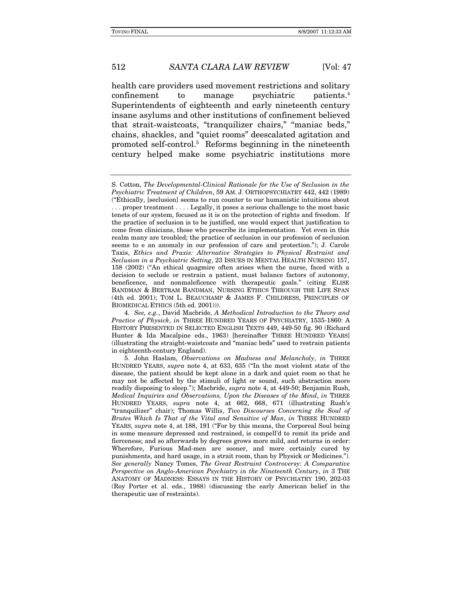health care providers used movement restrictions and solitary confinement to manage psychiatric patients.4 Superintendents of eighteenth and early nineteenth century insane asylums and other institutions of confinement believed that strait-waistcoats, "tranquilizer chairs," "maniac beds," chains, shackles, and "quiet rooms" deescalated agitation and promoted self-control.5 Reforms beginning in the nineteenth century helped make some psychiatric institutions more

S. Cotton, The Developmental-Clinical Rationale for the Use of Seclusion in the Psychiatric Treatment of Children, 59 AM. J. ORTHOPSYCHIATRY 442, 442 (1989) ("Ethically, [seclusion] seems to run counter to our humanistic intuitions about . . . proper treatment . . . . Legally, it poses a serious challenge to the most basic tenets of our system, focused as it is on the protection of rights and freedom. If the practice of seclusion is to be justified, one would expect that justification to come from clinicians, those who prescribe its implementation. Yet even in this realm many are troubled; the practice of seclusion in our profession of seclusion seems to e an anomaly in our profession of care and protection."); J. Carole Taxis, Ethics and Praxis: Alternative Strategies to Physical Restraint and Seclusion in a Psychiatric Setting, 23 ISSUES IN MENTAL HEALTH NURSING 157, 158 (2002) ("An ethical quagmire often arises when the nurse, faced with a decision to seclude or restrain a patient, must balance factors of autonomy, beneficence, and nonmaleficence with therapeutic goals." (citing ELISE BANDMAN & BERTRAM BANDMAN, NURSING ETHICS THROUGH THE LIFE SPAN (4th ed. 2001); TOM L. BEAUCHAMP & JAMES F. CHILDRESS, PRINCIPLES OF BIOMEDICAL ETHICS (5th ed. 2001))).

<sup>4</sup>. See, e.g., David Macbride, A Methodical Introduction to the Theory and Practice of Physick, in THREE HUNDRED YEARS OF PSYCHIATRY, 1535-1860: A HISTORY PRESENTED IN SELECTED ENGLISH TEXTS 449, 449-50 fig. 90 (Richard Hunter & Ida Macalpine eds., 1963) [hereinafter THREE HUNDRED YEARS] (illustrating the straight-waistcoats and "maniac beds" used to restrain patients in eighteenth-century England).

 <sup>5.</sup> John Haslam, Observations on Madness and Melancholy, in THREE HUNDRED YEARS, supra note 4, at 633, 635 ("In the most violent state of the disease, the patient should be kept alone in a dark and quiet room so that he may not be affected by the stimuli of light or sound, such abstraction more readily disposing to sleep."); Macbride, supra note 4, at 449-50; Benjamin Rush, Medical Inquiries and Observations, Upon the Diseases of the Mind, in THREE HUNDRED YEARS, supra note 4, at 662, 668, 671 (illustrating Rush's "tranquilizer" chair); Thomas Willis, Two Discourses Concerning the Soul of Brutes Which Is That of the Vital and Sensitive of Man, in THREE HUNDRED YEARS, supra note 4, at 188, 191 ("For by this means, the Corporeal Soul being in some measure depressed and restrained, is compell'd to remit its pride and fierceness; and so afterwards by degrees grows more mild, and returns in order: Wherefore, Furious Mad-men are sooner, and more certainly cured by punishments, and hard usage, in a strait room, than by Physick or Medicines."). See generally Nancy Tomes, The Great Restraint Controversy: A Comparative Perspective on Anglo-American Psychiatry in the Nineteenth Century, in 3 THE ANATOMY OF MADNESS: ESSAYS IN THE HISTORY OF PSYCHIATRY 190, 202-03 (Roy Porter et al. eds., 1988) (discussing the early American belief in the therapeutic use of restraints).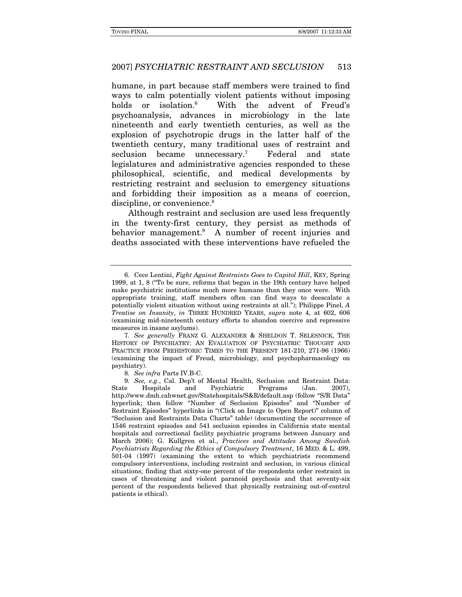humane, in part because staff members were trained to find ways to calm potentially violent patients without imposing holds or isolation.<sup>6</sup> With the advent of Freud's psychoanalysis, advances in microbiology in the late nineteenth and early twentieth centuries, as well as the explosion of psychotropic drugs in the latter half of the twentieth century, many traditional uses of restraint and seclusion became unnecessary.<sup>7</sup> Federal and state legislatures and administrative agencies responded to these philosophical, scientific, and medical developments by restricting restraint and seclusion to emergency situations and forbidding their imposition as a means of coercion, discipline, or convenience.<sup>8</sup>

Although restraint and seclusion are used less frequently in the twenty-first century, they persist as methods of behavior management.<sup>9</sup> A number of recent injuries and deaths associated with these interventions have refueled the

7. See generally FRANZ G. ALEXANDER & SHELDON T. SELESNICK, THE HISTORY OF PSYCHIATRY: AN EVALUATION OF PSYCHIATRIC THOUGHT AND PRACTICE FROM PREHISTORIC TIMES TO THE PRESENT 181-210, 271-96 (1966) (examining the impact of Freud, microbiology, and psychopharmacology on psychiatry).

 <sup>6.</sup> Cece Lentini, Fight Against Restraints Goes to Capitol Hill, KEY, Spring 1999, at 1, 8 ("To be sure, reforms that began in the 19th century have helped make psychiatric institutions much more humane than they once were. With appropriate training, staff members often can find ways to deescalate a potentially violent situation without using restraints at all."); Philippe Pinel, A Treatise on Insanity, in THREE HUNDRED YEARS, supra note 4, at 602, 606 (examining mid-nineteenth century efforts to abandon coercive and repressive measures in insane asylums).

<sup>8</sup>. See infra Parts IV.B-C.

<sup>9</sup>. See, e.g., Cal. Dep't of Mental Health, Seclusion and Restraint Data: State Hospitals and Psychiatric Programs (Jan. 2007), http://www.dmh.cahwnet.gov/Statehospitals/S&R/default.asp (follow "S/R Data" hyperlink; then follow "Number of Seclusion Episodes" and "Number of Restraint Episodes" hyperlinks in "(Click on Image to Open Report)" column of "Seclusion and Restraints Data Charts" table) (documenting the occurrence of 1546 restraint episodes and 541 seclusion episodes in California state mental hospitals and correctional facility psychiatric programs between January and March 2006); G. Kullgren et al., Practices and Attitudes Among Swedish Psychiatrists Regarding the Ethics of Compulsory Treatment, 16 MED. & L. 499, 501-04 (1997) (examining the extent to which psychiatrists recommend compulsory interventions, including restraint and seclusion, in various clinical situations; finding that sixty-one percent of the respondents order restraint in cases of threatening and violent paranoid psychosis and that seventy-six percent of the respondents believed that physically restraining out-of-control patients is ethical).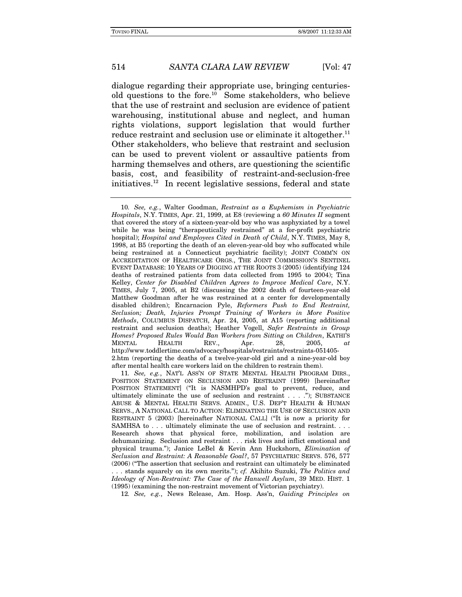dialogue regarding their appropriate use, bringing centuriesold questions to the fore.10 Some stakeholders, who believe that the use of restraint and seclusion are evidence of patient warehousing, institutional abuse and neglect, and human rights violations, support legislation that would further reduce restraint and seclusion use or eliminate it altogether.<sup>11</sup> Other stakeholders, who believe that restraint and seclusion can be used to prevent violent or assaultive patients from harming themselves and others, are questioning the scientific basis, cost, and feasibility of restraint-and-seclusion-free initiatives.12 In recent legislative sessions, federal and state

11. See, e.g., NAT'L ASS'N OF STATE MENTAL HEALTH PROGRAM DIRS., POSITION STATEMENT ON SECLUSION AND RESTRAINT (1999) [hereinafter POSITION STATEMENT] ("It is NASMHPD's goal to prevent, reduce, and ultimately eliminate the use of seclusion and restraint  $\dots$  . ."); SUBSTANCE ABUSE & MENTAL HEALTH SERVS. ADMIN., U.S. DEP'T HEALTH & HUMAN SERVS., A NATIONAL CALL TO ACTION: ELIMINATING THE USE OF SECLUSION AND RESTRAINT 5 (2003) [hereinafter NATIONAL CALL] ("It is now a priority for SAMHSA to . . . ultimately eliminate the use of seclusion and restraint. . . . Research shows that physical force, mobilization, and isolation are dehumanizing. Seclusion and restraint . . . risk lives and inflict emotional and physical trauma."); Janice LeBel & Kevin Ann Huckshorn, Elimination of Seclusion and Restraint: A Reasonable Goal?, 57 PSYCHIATRIC SERVS. 576, 577 (2006) ("The assertion that seclusion and restraint can ultimately be eliminated . . . stands squarely on its own merits."); cf. Akihito Suzuki, The Politics and Ideology of Non-Restraint: The Case of the Hanwell Asylum, 39 MED. HIST. 1 (1995) (examining the non-restraint movement of Victorian psychiatry).

12. See, e.g., News Release, Am. Hosp. Ass'n, Guiding Principles on

<sup>10</sup>. See, e.g., Walter Goodman, Restraint as a Euphemism in Psychiatric Hospitals, N.Y. TIMES, Apr. 21, 1999, at E8 (reviewing a 60 Minutes II segment that covered the story of a sixteen-year-old boy who was asphyxiated by a towel while he was being "therapeutically restrained" at a for-profit psychiatric hospital); Hospital and Employees Cited in Death of Child, N.Y. TIMES, May 8, 1998, at B5 (reporting the death of an eleven-year-old boy who suffocated while being restrained at a Connecticut psychiatric facility); JOINT COMM'N ON ACCREDITATION OF HEALTHCARE ORGS., THE JOINT COMMISSION'S SENTINEL EVENT DATABASE: 10 YEARS OF DIGGING AT THE ROOTS 3 (2005) (identifying 124 deaths of restrained patients from data collected from 1995 to 2004); Tina Kelley, Center for Disabled Children Agrees to Improve Medical Care, N.Y. TIMES, July 7, 2005, at B2 (discussing the 2002 death of fourteen-year-old Matthew Goodman after he was restrained at a center for developmentally disabled children); Encarnacion Pyle, Reformers Push to End Restraint, Seclusion; Death, Injuries Prompt Training of Workers in More Positive Methods, COLUMBUS DISPATCH, Apr. 24, 2005, at A15 (reporting additional restraint and seclusion deaths); Heather Vogell, Safer Restraints in Group Homes? Proposed Rules Would Ban Workers from Sitting on Children, KATHI'S MENTAL HEALTH REV., Apr. 28, 2005, at http://www.toddlertime.com/advocacy/hospitals/restraints/restraints-051405- 2.htm (reporting the deaths of a twelve-year-old girl and a nine-year-old boy after mental health care workers laid on the children to restrain them).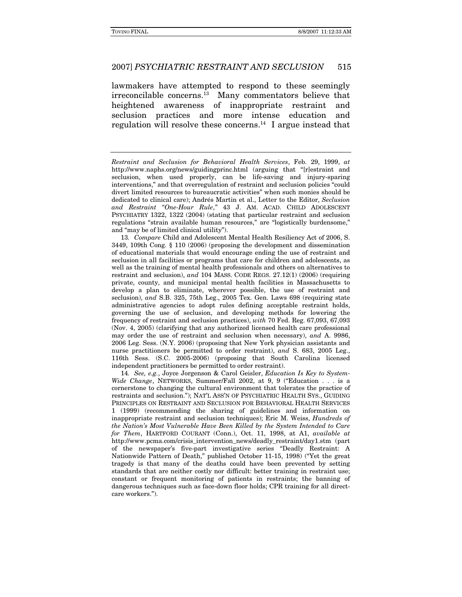lawmakers have attempted to respond to these seemingly irreconcilable concerns.13 Many commentators believe that heightened awareness of inappropriate restraint and seclusion practices and more intense education and regulation will resolve these concerns.<sup>14</sup> I argue instead that

13. Compare Child and Adolescent Mental Health Resiliency Act of 2006, S. 3449, 109th Cong. § 110 (2006) (proposing the development and dissemination of educational materials that would encourage ending the use of restraint and seclusion in all facilities or programs that care for children and adolescents, as well as the training of mental health professionals and others on alternatives to restraint and seclusion), and 104 MASS. CODE REGS. 27.12(1) (2006) (requiring private, county, and municipal mental health facilities in Massachusetts to develop a plan to eliminate, wherever possible, the use of restraint and seclusion), and S.B. 325, 75th Leg., 2005 Tex. Gen. Laws 698 (requiring state administrative agencies to adopt rules defining acceptable restraint holds, governing the use of seclusion, and developing methods for lowering the frequency of restraint and seclusion practices), with 70 Fed. Reg. 67,093, 67,093 (Nov. 4, 2005) (clarifying that any authorized licensed health care professional may order the use of restraint and seclusion when necessary), and A. 9986, 2006 Leg. Sess. (N.Y. 2006) (proposing that New York physician assistants and nurse practitioners be permitted to order restraint), and S. 683, 2005 Leg., 116th Sess. (S.C. 2005-2006) (proposing that South Carolina licensed independent practitioners be permitted to order restraint).

14. See, e.g., Joyce Jorgenson & Carol Geisler, Education Is Key to System-Wide Change, NETWORKS, Summer/Fall 2002, at 9, 9 ("Education . . . is a cornerstone to changing the cultural environment that tolerates the practice of restraints and seclusion."); NAT'L ASS'N OF PSYCHIATRIC HEALTH SYS., GUIDING PRINCIPLES ON RESTRAINT AND SECLUSION FOR BEHAVIORAL HEALTH SERVICES 1 (1999) (recommending the sharing of guidelines and information on inappropriate restraint and seclusion techniques); Eric M. Weiss, Hundreds of the Nation's Most Vulnerable Have Been Killed by the System Intended to Care for Them, HARTFORD COURANT (Conn.), Oct. 11, 1998, at A1, available at http://www.pcma.com/crisis\_intervention\_news/deadly\_restraint/day1.stm (part of the newspaper's five-part investigative series "Deadly Restraint: A Nationwide Pattern of Death," published October 11-15, 1998) ("Yet the great tragedy is that many of the deaths could have been prevented by setting standards that are neither costly nor difficult: better training in restraint use; constant or frequent monitoring of patients in restraints; the banning of dangerous techniques such as face-down floor holds; CPR training for all directcare workers.").

Restraint and Seclusion for Behavioral Health Services, Feb. 29, 1999, at http://www.naphs.org/news/guidingprinc.html (arguing that "[r]estraint and seclusion, when used properly, can be life-saving and injury-sparing interventions," and that overregulation of restraint and seclusion policies "could divert limited resources to bureaucratic activities" when such monies should be dedicated to clinical care); Andrés Martin et al., Letter to the Editor, Seclusion and Restraint "One-Hour Rule," 43 J. AM. ACAD. CHILD ADOLESCENT PSYCHIATRY 1322, 1322 (2004) (stating that particular restraint and seclusion regulations "strain available human resources," are "logistically burdensome," and "may be of limited clinical utility").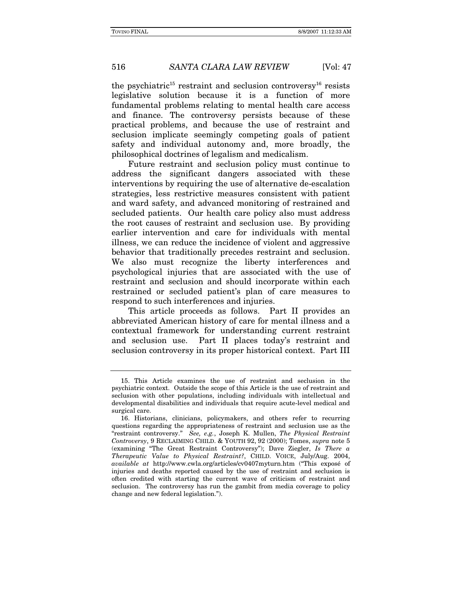the psychiatric<sup>15</sup> restraint and seclusion controversy<sup>16</sup> resists legislative solution because it is a function of more fundamental problems relating to mental health care access and finance. The controversy persists because of these practical problems, and because the use of restraint and seclusion implicate seemingly competing goals of patient safety and individual autonomy and, more broadly, the philosophical doctrines of legalism and medicalism.

Future restraint and seclusion policy must continue to address the significant dangers associated with these interventions by requiring the use of alternative de-escalation strategies, less restrictive measures consistent with patient and ward safety, and advanced monitoring of restrained and secluded patients. Our health care policy also must address the root causes of restraint and seclusion use. By providing earlier intervention and care for individuals with mental illness, we can reduce the incidence of violent and aggressive behavior that traditionally precedes restraint and seclusion. We also must recognize the liberty interferences and psychological injuries that are associated with the use of restraint and seclusion and should incorporate within each restrained or secluded patient's plan of care measures to respond to such interferences and injuries.

This article proceeds as follows. Part II provides an abbreviated American history of care for mental illness and a contextual framework for understanding current restraint and seclusion use. Part II places today's restraint and seclusion controversy in its proper historical context. Part III

 <sup>15.</sup> This Article examines the use of restraint and seclusion in the psychiatric context. Outside the scope of this Article is the use of restraint and seclusion with other populations, including individuals with intellectual and developmental disabilities and individuals that require acute-level medical and surgical care.

 <sup>16.</sup> Historians, clinicians, policymakers, and others refer to recurring questions regarding the appropriateness of restraint and seclusion use as the "restraint controversy." See, e.g., Joseph K. Mullen, The Physical Restraint Controversy, 9 RECLAIMING CHILD. & YOUTH 92, 92 (2000); Tomes, supra note 5 (examining "The Great Restraint Controversy"); Dave Ziegler, Is There a Therapeutic Value to Physical Restraint?, CHILD. VOICE, July/Aug. 2004, available at http://www.cwla.org/articles/cv0407myturn.htm ("This exposé of injuries and deaths reported caused by the use of restraint and seclusion is often credited with starting the current wave of criticism of restraint and seclusion. The controversy has run the gambit from media coverage to policy change and new federal legislation.").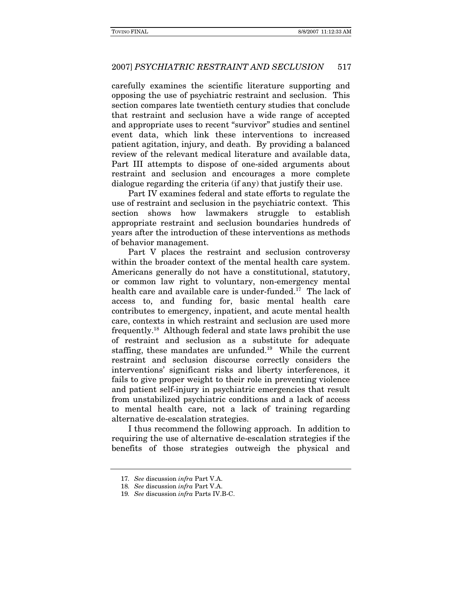carefully examines the scientific literature supporting and opposing the use of psychiatric restraint and seclusion. This section compares late twentieth century studies that conclude that restraint and seclusion have a wide range of accepted and appropriate uses to recent "survivor" studies and sentinel event data, which link these interventions to increased patient agitation, injury, and death. By providing a balanced review of the relevant medical literature and available data, Part III attempts to dispose of one-sided arguments about restraint and seclusion and encourages a more complete dialogue regarding the criteria (if any) that justify their use.

Part IV examines federal and state efforts to regulate the use of restraint and seclusion in the psychiatric context. This section shows how lawmakers struggle to establish appropriate restraint and seclusion boundaries hundreds of years after the introduction of these interventions as methods of behavior management.

Part V places the restraint and seclusion controversy within the broader context of the mental health care system. Americans generally do not have a constitutional, statutory, or common law right to voluntary, non-emergency mental health care and available care is under-funded.<sup>17</sup> The lack of access to, and funding for, basic mental health care contributes to emergency, inpatient, and acute mental health care, contexts in which restraint and seclusion are used more frequently.18 Although federal and state laws prohibit the use of restraint and seclusion as a substitute for adequate staffing, these mandates are unfunded.<sup>19</sup> While the current restraint and seclusion discourse correctly considers the interventions' significant risks and liberty interferences, it fails to give proper weight to their role in preventing violence and patient self-injury in psychiatric emergencies that result from unstabilized psychiatric conditions and a lack of access to mental health care, not a lack of training regarding alternative de-escalation strategies.

I thus recommend the following approach. In addition to requiring the use of alternative de-escalation strategies if the benefits of those strategies outweigh the physical and

<sup>17</sup>. See discussion infra Part V.A.

<sup>18</sup>. See discussion infra Part V.A.

<sup>19</sup>. See discussion infra Parts IV.B-C.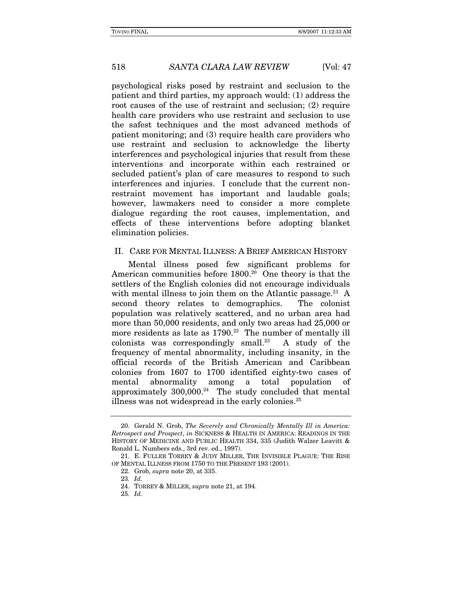psychological risks posed by restraint and seclusion to the patient and third parties, my approach would: (1) address the root causes of the use of restraint and seclusion; (2) require health care providers who use restraint and seclusion to use the safest techniques and the most advanced methods of patient monitoring; and (3) require health care providers who use restraint and seclusion to acknowledge the liberty interferences and psychological injuries that result from these interventions and incorporate within each restrained or secluded patient's plan of care measures to respond to such interferences and injuries. I conclude that the current nonrestraint movement has important and laudable goals; however, lawmakers need to consider a more complete dialogue regarding the root causes, implementation, and effects of these interventions before adopting blanket elimination policies.

#### II. CARE FOR MENTAL ILLNESS: A BRIEF AMERICAN HISTORY

Mental illness posed few significant problems for American communities before  $1800.<sup>20</sup>$  One theory is that the settlers of the English colonies did not encourage individuals with mental illness to join them on the Atlantic passage.<sup>21</sup> A second theory relates to demographics. The colonist population was relatively scattered, and no urban area had more than 50,000 residents, and only two areas had 25,000 or more residents as late as  $1790.<sup>22</sup>$  The number of mentally ill  $colonists$  was correspondingly small.<sup>23</sup> A study of the frequency of mental abnormality, including insanity, in the official records of the British American and Caribbean colonies from 1607 to 1700 identified eighty-two cases of mental abnormality among a total population of approximately  $300,000.<sup>24</sup>$  The study concluded that mental illness was not widespread in the early colonies.<sup>25</sup>

 <sup>20.</sup> Gerald N. Grob, The Severely and Chronically Mentally Ill in America: Retrospect and Prospect, in SICKNESS & HEALTH IN AMERICA: READINGS IN THE HISTORY OF MEDICINE AND PUBLIC HEALTH 334, 335 (Judith Walzer Leavitt & Ronald L. Numbers eds., 3rd rev. ed., 1997).

 <sup>21.</sup> E. FULLER TORREY & JUDY MILLER, THE INVISIBLE PLAGUE: THE RISE OF MENTAL ILLNESS FROM 1750 TO THE PRESENT 193 (2001).

 <sup>22.</sup> Grob, supra note 20, at 335.

<sup>23</sup>. Id.

 <sup>24.</sup> TORREY & MILLER, supra note 21, at 194.

<sup>25</sup>. Id.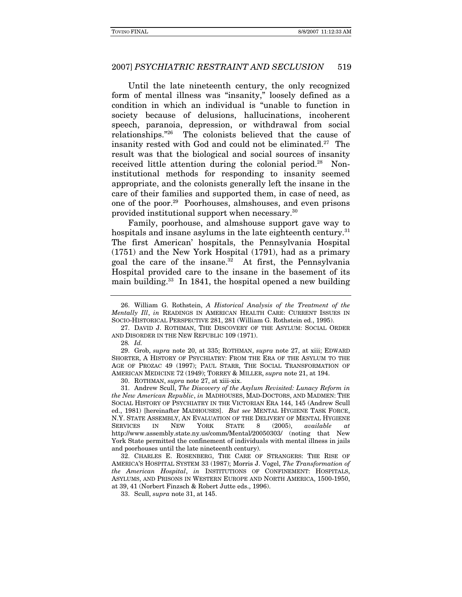Until the late nineteenth century, the only recognized form of mental illness was "insanity," loosely defined as a condition in which an individual is "unable to function in society because of delusions, hallucinations, incoherent speech, paranoia, depression, or withdrawal from social relationships."26 The colonists believed that the cause of insanity rested with God and could not be eliminated.<sup>27</sup> The result was that the biological and social sources of insanity received little attention during the colonial period.<sup>28</sup> Noninstitutional methods for responding to insanity seemed appropriate, and the colonists generally left the insane in the care of their families and supported them, in case of need, as one of the poor.29 Poorhouses, almshouses, and even prisons provided institutional support when necessary.30

Family, poorhouse, and almshouse support gave way to hospitals and insane asylums in the late eighteenth century.<sup>31</sup> The first American' hospitals, the Pennsylvania Hospital (1751) and the New York Hospital (1791), had as a primary goal the care of the insane.32 At first, the Pennsylvania Hospital provided care to the insane in the basement of its main building.<sup>33</sup> In 1841, the hospital opened a new building

 27. DAVID J. ROTHMAN, THE DISCOVERY OF THE ASYLUM: SOCIAL ORDER AND DISORDER IN THE NEW REPUBLIC 109 (1971).

28. Id.

 29. Grob, supra note 20, at 335; ROTHMAN, supra note 27, at xiii; EDWARD SHORTER, A HISTORY OF PSYCHIATRY: FROM THE ERA OF THE ASYLUM TO THE AGE OF PROZAC 49 (1997); PAUL STARR, THE SOCIAL TRANSFORMATION OF AMERICAN MEDICINE 72 (1949); TORREY & MILLER, supra note 21, at 194.

30. ROTHMAN, supra note 27, at xiii-xix.

 31. Andrew Scull, The Discovery of the Asylum Revisited: Lunacy Reform in the New American Republic, in MADHOUSES, MAD-DOCTORS, AND MADMEN: THE SOCIAL HISTORY OF PSYCHIATRY IN THE VICTORIAN ERA 144, 145 (Andrew Scull ed., 1981) [hereinafter MADHOUSES]. But see MENTAL HYGIENE TASK FORCE, N.Y. STATE ASSEMBLY, AN EVALUATION OF THE DELIVERY OF MENTAL HYGIENE SERVICES IN NEW YORK STATE 8 (2005), available at http://www.assembly.state.ny.us/comm/Mental/20050303/ (noting that New York State permitted the confinement of individuals with mental illness in jails and poorhouses until the late nineteenth century).

 32. CHARLES E. ROSENBERG, THE CARE OF STRANGERS: THE RISE OF AMERICA'S HOSPITAL SYSTEM 33 (1987); Morris J. Vogel, The Transformation of the American Hospital, in INSTITUTIONS OF CONFINEMENT: HOSPITALS, ASYLUMS, AND PRISONS IN WESTERN EUROPE AND NORTH AMERICA, 1500-1950, at 39, 41 (Norbert Finzsch & Robert Jutte eds., 1996).

33. Scull, supra note 31, at 145.

 <sup>26.</sup> William G. Rothstein, A Historical Analysis of the Treatment of the Mentally Ill, in READINGS IN AMERICAN HEALTH CARE: CURRENT ISSUES IN SOCIO-HISTORICAL PERSPECTIVE 281, 281 (William G. Rothstein ed., 1995).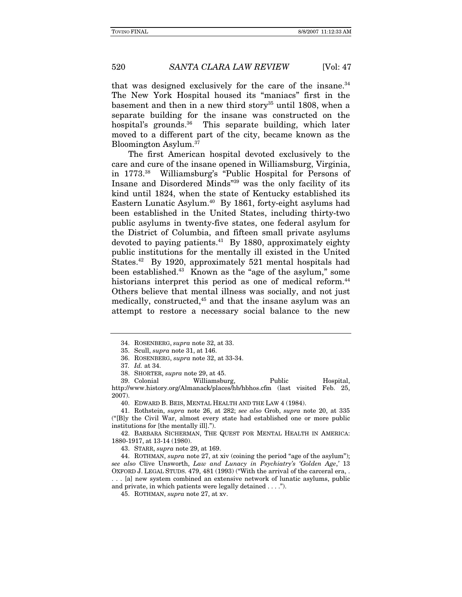that was designed exclusively for the care of the insane. $34$ The New York Hospital housed its "maniacs" first in the basement and then in a new third story<sup>35</sup> until 1808, when a separate building for the insane was constructed on the hospital's grounds. $36$  This separate building, which later moved to a different part of the city, became known as the Bloomington Asylum.37

The first American hospital devoted exclusively to the care and cure of the insane opened in Williamsburg, Virginia, in 1773.38 Williamsburg's "Public Hospital for Persons of Insane and Disordered Minds"39 was the only facility of its kind until 1824, when the state of Kentucky established its Eastern Lunatic Asylum.<sup>40</sup> By 1861, forty-eight asylums had been established in the United States, including thirty-two public asylums in twenty-five states, one federal asylum for the District of Columbia, and fifteen small private asylums devoted to paying patients. $41$  By 1880, approximately eighty public institutions for the mentally ill existed in the United States.<sup>42</sup> By 1920, approximately 521 mental hospitals had been established.43 Known as the "age of the asylum," some historians interpret this period as one of medical reform.<sup>44</sup> Others believe that mental illness was socially, and not just medically, constructed,<sup>45</sup> and that the insane asylum was an attempt to restore a necessary social balance to the new

 42. BARBARA SICHERMAN, THE QUEST FOR MENTAL HEALTH IN AMERICA: 1880-1917, at 13-14 (1980).

43. STARR, supra note 29, at 169.

 44. ROTHMAN, supra note 27, at xiv (coining the period "age of the asylum"); see also Clive Unsworth, Law and Lunacy in Psychiatry's 'Golden Age,' 13 OXFORD J. LEGAL STUDS. 479, 481 (1993) ("With the arrival of the carceral era, .

. . . [a] new system combined an extensive network of lunatic asylums, public and private, in which patients were legally detained . . . .").

45. ROTHMAN, supra note 27, at xv.

 <sup>34.</sup> ROSENBERG, supra note 32, at 33.

 <sup>35.</sup> Scull, supra note 31, at 146.

 <sup>36.</sup> ROSENBERG, supra note 32, at 33-34.

<sup>37</sup>. Id. at 34.

 <sup>38.</sup> SHORTER, supra note 29, at 45.

 <sup>39.</sup> Colonial Williamsburg, Public Hospital, http://www.history.org/Almanack/places/hb/hbhos.cfm (last visited Feb. 25, 2007).

 <sup>40.</sup> EDWARD B. BEIS, MENTAL HEALTH AND THE LAW 4 (1984).

 <sup>41.</sup> Rothstein, supra note 26, at 282; see also Grob, supra note 20, at 335 ("[B]y the Civil War, almost every state had established one or more public institutions for [the mentally ill].").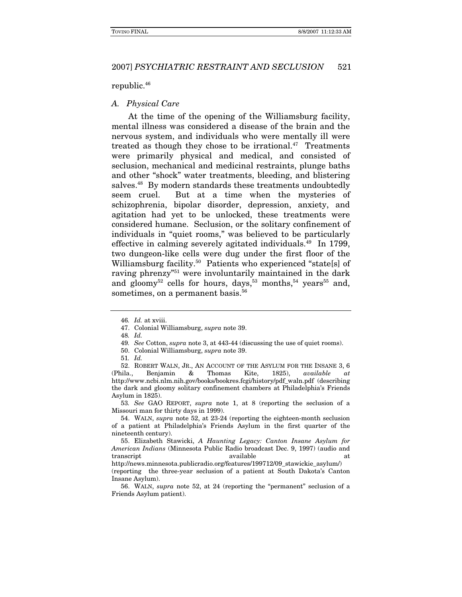#### republic.46

#### A. Physical Care

At the time of the opening of the Williamsburg facility, mental illness was considered a disease of the brain and the nervous system, and individuals who were mentally ill were treated as though they chose to be irrational. $47$  Treatments were primarily physical and medical, and consisted of seclusion, mechanical and medicinal restraints, plunge baths and other "shock" water treatments, bleeding, and blistering salves.<sup>48</sup> By modern standards these treatments undoubtedly seem cruel. But at a time when the mysteries of schizophrenia, bipolar disorder, depression, anxiety, and agitation had yet to be unlocked, these treatments were considered humane. Seclusion, or the solitary confinement of individuals in "quiet rooms," was believed to be particularly effective in calming severely agitated individuals.<sup>49</sup> In 1799, two dungeon-like cells were dug under the first floor of the Williamsburg facility.<sup>50</sup> Patients who experienced "state[s] of raving phrenzy"51 were involuntarily maintained in the dark and gloomy<sup>52</sup> cells for hours, days,<sup>53</sup> months,<sup>54</sup> years<sup>55</sup> and, sometimes, on a permanent basis.<sup>56</sup>

<sup>46</sup>. Id. at xviii.

 <sup>47.</sup> Colonial Williamsburg, supra note 39.

<sup>48</sup>. Id.

<sup>49</sup>. See Cotton, supra note 3, at 443-44 (discussing the use of quiet rooms).

 <sup>50.</sup> Colonial Williamsburg, supra note 39.

<sup>51</sup>. Id.

 <sup>52.</sup> ROBERT WALN, JR., AN ACCOUNT OF THE ASYLUM FOR THE INSANE 3, 6 (Phila., Benjamin & Thomas Kite, 1825), available at http://www.ncbi.nlm.nih.gov/books/bookres.fcgi/history/pdf\_waln.pdf (describing the dark and gloomy solitary confinement chambers at Philadelphia's Friends Asylum in 1825).

<sup>53</sup>. See GAO REPORT, supra note 1, at 8 (reporting the seclusion of a Missouri man for thirty days in 1999).

 <sup>54.</sup> WALN, supra note 52, at 23-24 (reporting the eighteen-month seclusion of a patient at Philadelphia's Friends Asylum in the first quarter of the nineteenth century).

 <sup>55.</sup> Elizabeth Stawicki, A Haunting Legacy: Canton Insane Asylum for American Indians (Minnesota Public Radio broadcast Dec. 9, 1997) (audio and transcript available available at the state  $\mathbf{a}$ http://news.minnesota.publicradio.org/features/199712/09\_stawickie\_asylum/)

<sup>(</sup>reporting the three-year seclusion of a patient at South Dakota's Canton Insane Asylum).

 <sup>56.</sup> WALN, supra note 52, at 24 (reporting the "permanent" seclusion of a Friends Asylum patient).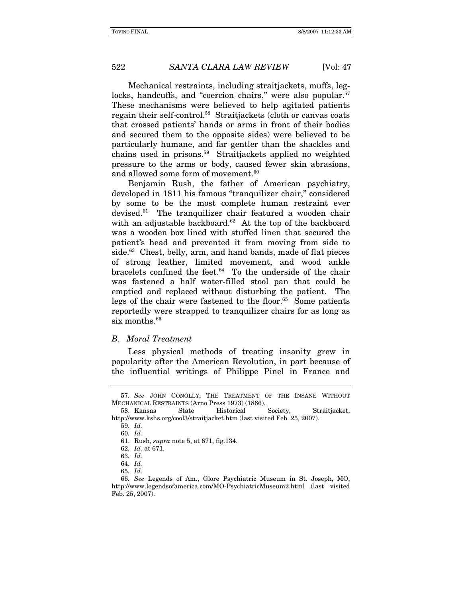Mechanical restraints, including straitjackets, muffs, leglocks, handcuffs, and "coercion chairs," were also popular.<sup>57</sup> These mechanisms were believed to help agitated patients regain their self-control.58 Straitjackets (cloth or canvas coats that crossed patients' hands or arms in front of their bodies and secured them to the opposite sides) were believed to be particularly humane, and far gentler than the shackles and chains used in prisons.59 Straitjackets applied no weighted pressure to the arms or body, caused fewer skin abrasions, and allowed some form of movement.<sup>60</sup>

Benjamin Rush, the father of American psychiatry, developed in 1811 his famous "tranquilizer chair," considered by some to be the most complete human restraint ever devised.<sup>61</sup> The tranquilizer chair featured a wooden chair with an adjustable backboard. $62$  At the top of the backboard was a wooden box lined with stuffed linen that secured the patient's head and prevented it from moving from side to side.<sup>63</sup> Chest, belly, arm, and hand bands, made of flat pieces of strong leather, limited movement, and wood ankle bracelets confined the feet.<sup>64</sup> To the underside of the chair was fastened a half water-filled stool pan that could be emptied and replaced without disturbing the patient. The legs of the chair were fastened to the floor.<sup>65</sup> Some patients reportedly were strapped to tranquilizer chairs for as long as six months.<sup>66</sup>

#### B. Moral Treatment

Less physical methods of treating insanity grew in popularity after the American Revolution, in part because of the influential writings of Philippe Pinel in France and

<sup>57</sup>. See JOHN CONOLLY, THE TREATMENT OF THE INSANE WITHOUT MECHANICAL RESTRAINTS (Arno Press 1973) (1866).

 <sup>58.</sup> Kansas State Historical Society, Straitjacket, http://www.kshs.org/cool3/straitjacket.htm (last visited Feb. 25, 2007).

<sup>59</sup>. Id.

<sup>60</sup>. Id.

 <sup>61.</sup> Rush, supra note 5, at 671, fig.134.

<sup>62</sup>. Id. at 671.

<sup>63</sup>. Id.

<sup>64</sup>. Id.

<sup>65</sup>. Id.

<sup>66</sup>. See Legends of Am., Glore Psychiatric Museum in St. Joseph, MO, http://www.legendsofamerica.com/MO-PsychiatricMuseum2.html (last visited Feb. 25, 2007).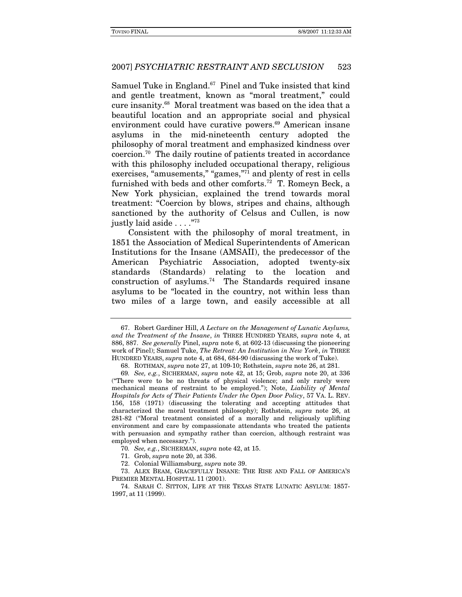Samuel Tuke in England.<sup>67</sup> Pinel and Tuke insisted that kind and gentle treatment, known as "moral treatment," could cure insanity.68 Moral treatment was based on the idea that a beautiful location and an appropriate social and physical environment could have curative powers.<sup>69</sup> American insane asylums in the mid-nineteenth century adopted the philosophy of moral treatment and emphasized kindness over coercion.70 The daily routine of patients treated in accordance with this philosophy included occupational therapy, religious exercises, "amusements," "games,"71 and plenty of rest in cells furnished with beds and other comforts.72 T. Romeyn Beck, a New York physician, explained the trend towards moral treatment: "Coercion by blows, stripes and chains, although sanctioned by the authority of Celsus and Cullen, is now justly laid aside . . . ."73

Consistent with the philosophy of moral treatment, in 1851 the Association of Medical Superintendents of American Institutions for the Insane (AMSAII), the predecessor of the American Psychiatric Association, adopted twenty-six standards (Standards) relating to the location and construction of asylums.<sup>74</sup> The Standards required insane asylums to be "located in the country, not within less than two miles of a large town, and easily accessible at all

 <sup>67.</sup> Robert Gardiner Hill, A Lecture on the Management of Lunatic Asylums, and the Treatment of the Insane, in THREE HUNDRED YEARS, supra note 4, at 886, 887. See generally Pinel, supra note 6, at 602-13 (discussing the pioneering work of Pinel); Samuel Tuke, The Retreat: An Institution in New York, in THREE HUNDRED YEARS, supra note 4, at 684, 684-90 (discussing the work of Tuke).

 <sup>68.</sup> ROTHMAN, supra note 27, at 109-10; Rothstein, supra note 26, at 281.

<sup>69</sup>. See, e.g., SICHERMAN, supra note 42, at 15; Grob, supra note 20, at 336 ("There were to be no threats of physical violence; and only rarely were mechanical means of restraint to be employed."); Note, Liability of Mental Hospitals for Acts of Their Patients Under the Open Door Policy, 57 VA. L. REV. 156, 158 (1971) (discussing the tolerating and accepting attitudes that characterized the moral treatment philosophy); Rothstein, supra note 26, at 281-82 ("Moral treatment consisted of a morally and religiously uplifting environment and care by compassionate attendants who treated the patients with persuasion and sympathy rather than coercion, although restraint was employed when necessary.").

<sup>70</sup>. See, e.g., SICHERMAN, supra note 42, at 15.

 <sup>71.</sup> Grob, supra note 20, at 336.

 <sup>72.</sup> Colonial Williamsburg, supra note 39.

 <sup>73.</sup> ALEX BEAM, GRACEFULLY INSANE: THE RISE AND FALL OF AMERICA'S PREMIER MENTAL HOSPITAL 11 (2001).

 <sup>74.</sup> SARAH C. SITTON, LIFE AT THE TEXAS STATE LUNATIC ASYLUM: 1857- 1997, at 11 (1999).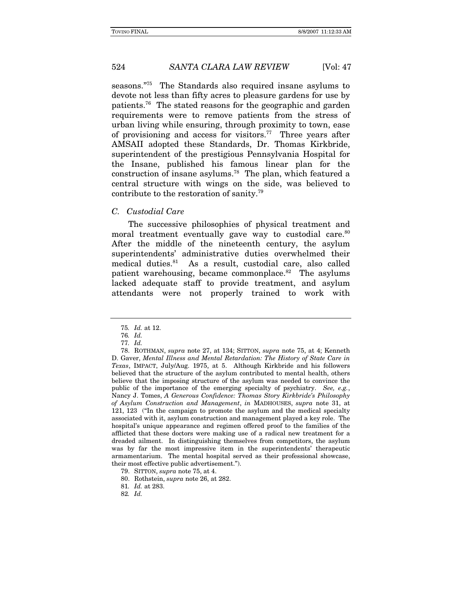seasons."75 The Standards also required insane asylums to devote not less than fifty acres to pleasure gardens for use by patients.76 The stated reasons for the geographic and garden requirements were to remove patients from the stress of urban living while ensuring, through proximity to town, ease of provisioning and access for visitors.<sup>77</sup> Three years after AMSAII adopted these Standards, Dr. Thomas Kirkbride, superintendent of the prestigious Pennsylvania Hospital for the Insane, published his famous linear plan for the construction of insane asylums.78 The plan, which featured a central structure with wings on the side, was believed to contribute to the restoration of sanity.79

#### C. Custodial Care

The successive philosophies of physical treatment and moral treatment eventually gave way to custodial care.<sup>80</sup> After the middle of the nineteenth century, the asylum superintendents' administrative duties overwhelmed their medical duties.81 As a result, custodial care, also called patient warehousing, became commonplace.<sup>82</sup> The asylums lacked adequate staff to provide treatment, and asylum attendants were not properly trained to work with

<sup>75</sup>. Id. at 12.

<sup>76</sup>. Id.

<sup>77</sup>. Id.

 <sup>78.</sup> ROTHMAN, supra note 27, at 134; SITTON, supra note 75, at 4; Kenneth D. Gaver, Mental Illness and Mental Retardation: The History of State Care in Texas, IMPACT, July/Aug. 1975, at 5. Although Kirkbride and his followers believed that the structure of the asylum contributed to mental health, others believe that the imposing structure of the asylum was needed to convince the public of the importance of the emerging specialty of psychiatry. See, e.g., Nancy J. Tomes, A Generous Confidence: Thomas Story Kirkbride's Philosophy of Asylum Construction and Management, in MADHOUSES, supra note 31, at 121, 123 ("In the campaign to promote the asylum and the medical specialty associated with it, asylum construction and management played a key role. The hospital's unique appearance and regimen offered proof to the families of the afflicted that these doctors were making use of a radical new treatment for a dreaded ailment. In distinguishing themselves from competitors, the asylum was by far the most impressive item in the superintendents' therapeutic armamentarium. The mental hospital served as their professional showcase, their most effective public advertisement.").

 <sup>79.</sup> SITTON, supra note 75, at 4.

 <sup>80.</sup> Rothstein, supra note 26, at 282.

<sup>81</sup>. Id. at 283.

<sup>82</sup>. Id.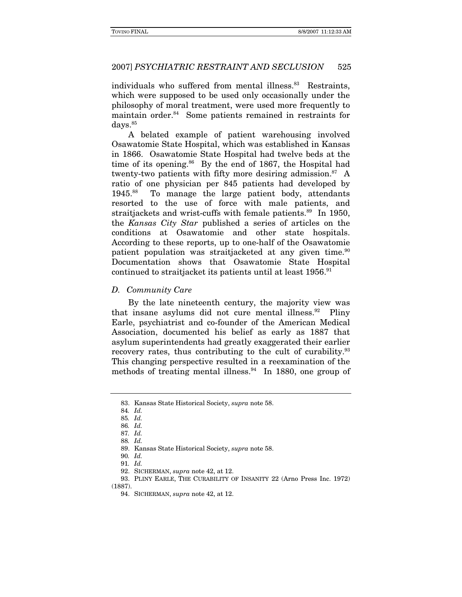individuals who suffered from mental illness.<sup>83</sup> Restraints, which were supposed to be used only occasionally under the philosophy of moral treatment, were used more frequently to maintain order.<sup>84</sup> Some patients remained in restraints for days.<sup>85</sup>

A belated example of patient warehousing involved Osawatomie State Hospital, which was established in Kansas in 1866. Osawatomie State Hospital had twelve beds at the time of its opening.<sup>86</sup> By the end of 1867, the Hospital had twenty-two patients with fifty more desiring admission.<sup>87</sup> A ratio of one physician per 845 patients had developed by 1945.88 To manage the large patient body, attendants resorted to the use of force with male patients, and straitjackets and wrist-cuffs with female patients.<sup>89</sup> In 1950, the Kansas City Star published a series of articles on the conditions at Osawatomie and other state hospitals. According to these reports, up to one-half of the Osawatomie patient population was straitjacketed at any given time.<sup>90</sup> Documentation shows that Osawatomie State Hospital continued to straitjacket its patients until at least 1956.<sup>91</sup>

D. Community Care

By the late nineteenth century, the majority view was that insane asylums did not cure mental illness. $92$  Pliny Earle, psychiatrist and co-founder of the American Medical Association, documented his belief as early as 1887 that asylum superintendents had greatly exaggerated their earlier recovery rates, thus contributing to the cult of curability.<sup>93</sup> This changing perspective resulted in a reexamination of the methods of treating mental illness. $94$  In 1880, one group of

 <sup>83.</sup> Kansas State Historical Society, supra note 58.

<sup>84</sup>. Id.

<sup>85</sup>. Id.

<sup>86</sup>. Id.

<sup>87</sup>. Id.

<sup>88</sup>. Id.

 <sup>89.</sup> Kansas State Historical Society, supra note 58.

<sup>90</sup>. Id.

<sup>91</sup>. Id.

 <sup>92.</sup> SICHERMAN, supra note 42, at 12.

 <sup>93.</sup> PLINY EARLE, THE CURABILITY OF INSANITY 22 (Arno Press Inc. 1972) (1887).

 <sup>94.</sup> SICHERMAN, supra note 42, at 12.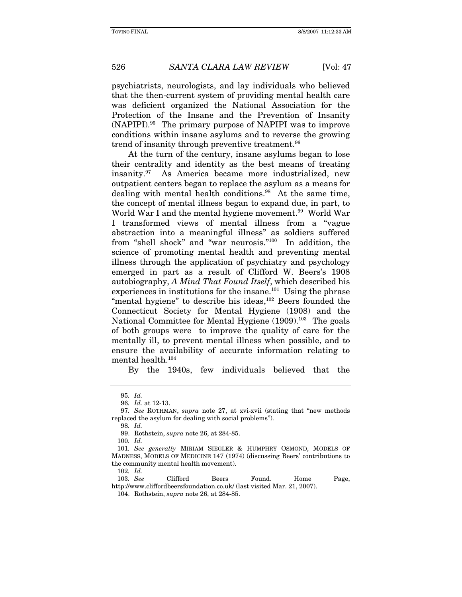psychiatrists, neurologists, and lay individuals who believed that the then-current system of providing mental health care was deficient organized the National Association for the Protection of the Insane and the Prevention of Insanity (NAPIPI).95 The primary purpose of NAPIPI was to improve conditions within insane asylums and to reverse the growing trend of insanity through preventive treatment.<sup>96</sup>

At the turn of the century, insane asylums began to lose their centrality and identity as the best means of treating insanity.97 As America became more industrialized, new outpatient centers began to replace the asylum as a means for dealing with mental health conditions.98 At the same time, the concept of mental illness began to expand due, in part, to World War I and the mental hygiene movement.<sup>99</sup> World War I transformed views of mental illness from a "vague abstraction into a meaningful illness" as soldiers suffered from "shell shock" and "war neurosis."100 In addition, the science of promoting mental health and preventing mental illness through the application of psychiatry and psychology emerged in part as a result of Clifford W. Beers's 1908 autobiography, A Mind That Found Itself, which described his experiences in institutions for the insane.<sup>101</sup> Using the phrase "mental hygiene" to describe his ideas, $102$  Beers founded the Connecticut Society for Mental Hygiene (1908) and the National Committee for Mental Hygiene (1909).<sup>103</sup> The goals of both groups were to improve the quality of care for the mentally ill, to prevent mental illness when possible, and to ensure the availability of accurate information relating to mental health.104

By the 1940s, few individuals believed that the

100. Id.

102. Id.

<sup>95</sup>. Id.

<sup>96</sup>. Id. at 12-13.

<sup>97</sup>. See ROTHMAN, supra note 27, at xvi-xvii (stating that "new methods replaced the asylum for dealing with social problems").

<sup>98</sup>. Id.

 <sup>99.</sup> Rothstein, supra note 26, at 284-85.

<sup>101</sup>. See generally MIRIAM SIEGLER & HUMPHRY OSMOND, MODELS OF MADNESS, MODELS OF MEDICINE 147 (1974) (discussing Beers' contributions to the community mental health movement).

<sup>103</sup>. See Clifford Beers Found. Home Page, http://www.cliffordbeersfoundation.co.uk/ (last visited Mar. 21, 2007).

 <sup>104.</sup> Rothstein, supra note 26, at 284-85.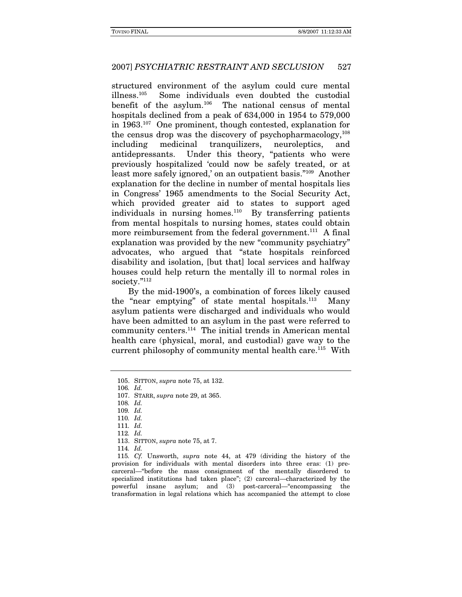structured environment of the asylum could cure mental illness.105 Some individuals even doubted the custodial benefit of the asylum.106 The national census of mental hospitals declined from a peak of 634,000 in 1954 to 579,000 in 1963.107 One prominent, though contested, explanation for the census drop was the discovery of psychopharmacology, $108$ including medicinal tranquilizers, neuroleptics, and antidepressants. Under this theory, "patients who were previously hospitalized 'could now be safely treated, or at least more safely ignored,' on an outpatient basis."109 Another explanation for the decline in number of mental hospitals lies in Congress' 1965 amendments to the Social Security Act, which provided greater aid to states to support aged individuals in nursing homes. $110$  By transferring patients from mental hospitals to nursing homes, states could obtain more reimbursement from the federal government.<sup>111</sup> A final explanation was provided by the new "community psychiatry" advocates, who argued that "state hospitals reinforced disability and isolation, [but that] local services and halfway houses could help return the mentally ill to normal roles in society."112

By the mid-1900's, a combination of forces likely caused the "near emptying" of state mental hospitals.<sup>113</sup> Many asylum patients were discharged and individuals who would have been admitted to an asylum in the past were referred to community centers.114 The initial trends in American mental health care (physical, moral, and custodial) gave way to the current philosophy of community mental health care.<sup>115</sup> With

108. Id.

114. Id.

115. Cf. Unsworth, supra note 44, at 479 (dividing the history of the provision for individuals with mental disorders into three eras: (1) precarceral—"before the mass consignment of the mentally disordered to specialized institutions had taken place"; (2) carceral—characterized by the powerful insane asylum; and (3) post-carceral—"encompassing the transformation in legal relations which has accompanied the attempt to close

 <sup>105.</sup> SITTON, supra note 75, at 132.

<sup>106</sup>. Id.

 <sup>107.</sup> STARR, supra note 29, at 365.

<sup>109</sup>. Id.

<sup>110</sup>. Id.

<sup>111</sup>. Id.

<sup>112</sup>. Id.

 <sup>113.</sup> SITTON, supra note 75, at 7.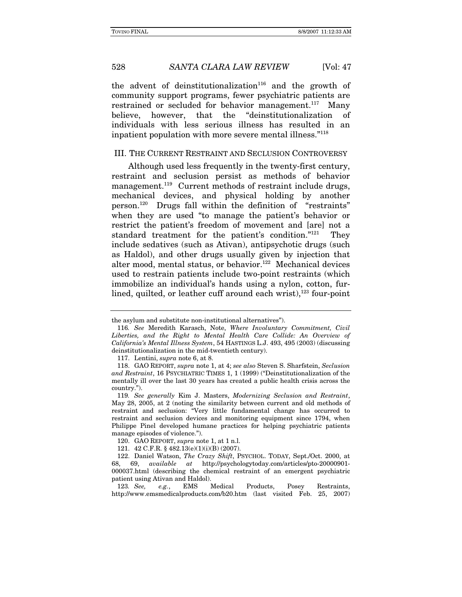the advent of deinstitutionalization $116$  and the growth of community support programs, fewer psychiatric patients are restrained or secluded for behavior management.<sup>117</sup> Many believe, however, that the "deinstitutionalization of individuals with less serious illness has resulted in an inpatient population with more severe mental illness."118

#### III. THE CURRENT RESTRAINT AND SECLUSION CONTROVERSY

Although used less frequently in the twenty-first century, restraint and seclusion persist as methods of behavior management.<sup>119</sup> Current methods of restraint include drugs, mechanical devices, and physical holding by another person.120 Drugs fall within the definition of "restraints" when they are used "to manage the patient's behavior or restrict the patient's freedom of movement and [are] not a standard treatment for the patient's condition."121 They include sedatives (such as Ativan), antipsychotic drugs (such as Haldol), and other drugs usually given by injection that alter mood, mental status, or behavior.<sup>122</sup> Mechanical devices used to restrain patients include two-point restraints (which immobilize an individual's hands using a nylon, cotton, furlined, quilted, or leather cuff around each wrist), $123$  four-point

the asylum and substitute non-institutional alternatives").

<sup>116</sup>. See Meredith Karasch, Note, Where Involuntary Commitment, Civil Liberties, and the Right to Mental Health Care Collide: An Overview of California's Mental Illness System, 54 HASTINGS L.J. 493, 495 (2003) (discussing deinstitutionalization in the mid-twentieth century).

 <sup>117.</sup> Lentini, supra note 6, at 8.

 <sup>118.</sup> GAO REPORT, supra note 1, at 4; see also Steven S. Sharfstein, Seclusion and Restraint, 16 PSYCHIATRIC TIMES 1, 1 (1999) ("Deinstitutionalization of the mentally ill over the last 30 years has created a public health crisis across the country.").

<sup>119</sup>. See generally Kim J. Masters, Modernizing Seclusion and Restraint, May 28, 2005, at 2 (noting the similarity between current and old methods of restraint and seclusion: "Very little fundamental change has occurred to restraint and seclusion devices and monitoring equipment since 1794, when Philippe Pinel developed humane practices for helping psychiatric patients manage episodes of violence.").

 <sup>120.</sup> GAO REPORT, supra note 1, at 1 n.l.

 <sup>121. 42</sup> C.F.R. § 482.13(e)(1)(i)(B) (2007).

 <sup>122.</sup> Daniel Watson, The Crazy Shift, PSYCHOL. TODAY, Sept./Oct. 2000, at 68, 69, available at http://psychologytoday.com/articles/pto-20000901- 000037.html (describing the chemical restraint of an emergent psychiatric patient using Ativan and Haldol).

<sup>123</sup>. See, e.g., EMS Medical Products, Posey Restraints, http://www.emsmedicalproducts.com/b20.htm (last visited Feb. 25, 2007)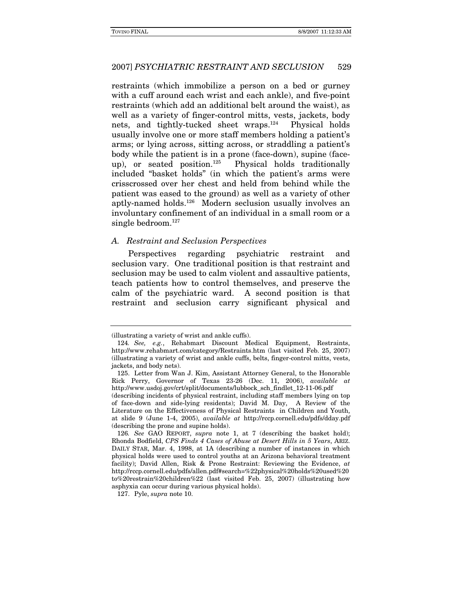restraints (which immobilize a person on a bed or gurney with a cuff around each wrist and each ankle), and five-point restraints (which add an additional belt around the waist), as well as a variety of finger-control mitts, vests, jackets, body nets, and tightly-tucked sheet wraps.<sup>124</sup> Physical holds usually involve one or more staff members holding a patient's arms; or lying across, sitting across, or straddling a patient's body while the patient is in a prone (face-down), supine (faceup), or seated position.125 Physical holds traditionally included "basket holds" (in which the patient's arms were crisscrossed over her chest and held from behind while the patient was eased to the ground) as well as a variety of other aptly-named holds.126 Modern seclusion usually involves an involuntary confinement of an individual in a small room or a single bedroom.127

#### A. Restraint and Seclusion Perspectives

Perspectives regarding psychiatric restraint and seclusion vary. One traditional position is that restraint and seclusion may be used to calm violent and assaultive patients, teach patients how to control themselves, and preserve the calm of the psychiatric ward. A second position is that restraint and seclusion carry significant physical and

<sup>(</sup>illustrating a variety of wrist and ankle cuffs).

<sup>124</sup>. See, e.g., Rehabmart Discount Medical Equipment, Restraints, http://www.rehabmart.com/category/Restraints.htm (last visited Feb. 25, 2007) (illustrating a variety of wrist and ankle cuffs, belts, finger-control mitts, vests, jackets, and body nets).

 <sup>125.</sup> Letter from Wan J. Kim, Assistant Attorney General, to the Honorable Rick Perry, Governor of Texas 23-26 (Dec. 11, 2006), available at http://www.usdoj.gov/crt/split/documents/lubbock\_sch\_findlet\_12-11-06.pdf

<sup>(</sup>describing incidents of physical restraint, including staff members lying on top of face-down and side-lying residents); David M. Day, A Review of the Literature on the Effectiveness of Physical Restraints in Children and Youth, at slide 9 (June 1-4, 2005), available at http://rccp.cornell.edu/pdfs/dday.pdf (describing the prone and supine holds).

<sup>126</sup>. See GAO REPORT, supra note 1, at 7 (describing the basket hold); Rhonda Bodfield, CPS Finds 4 Cases of Abuse at Desert Hills in 5 Years, ARIZ. DAILY STAR, Mar. 4, 1998, at 1A (describing a number of instances in which physical holds were used to control youths at an Arizona behavioral treatment facility); David Allen, Risk & Prone Restraint: Reviewing the Evidence, at http://rccp.cornell.edu/pdfs/allen.pdf#search=%22physical%20holds%20used%20 to%20restrain%20children%22 (last visited Feb. 25, 2007) (illustrating how asphyxia can occur during various physical holds).

 <sup>127.</sup> Pyle, supra note 10.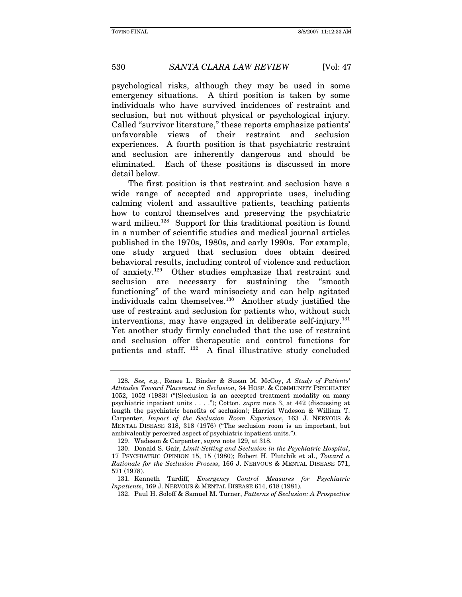psychological risks, although they may be used in some emergency situations. A third position is taken by some individuals who have survived incidences of restraint and seclusion, but not without physical or psychological injury. Called "survivor literature," these reports emphasize patients' unfavorable views of their restraint and seclusion experiences. A fourth position is that psychiatric restraint and seclusion are inherently dangerous and should be eliminated. Each of these positions is discussed in more detail below.

The first position is that restraint and seclusion have a wide range of accepted and appropriate uses, including calming violent and assaultive patients, teaching patients how to control themselves and preserving the psychiatric ward milieu.<sup>128</sup> Support for this traditional position is found in a number of scientific studies and medical journal articles published in the 1970s, 1980s, and early 1990s. For example, one study argued that seclusion does obtain desired behavioral results, including control of violence and reduction of anxiety.129 Other studies emphasize that restraint and seclusion are necessary for sustaining the "smooth functioning" of the ward minisociety and can help agitated individuals calm themselves.130 Another study justified the use of restraint and seclusion for patients who, without such interventions, may have engaged in deliberate self-injury.131 Yet another study firmly concluded that the use of restraint and seclusion offer therapeutic and control functions for patients and staff. 132 A final illustrative study concluded

<sup>128</sup>. See, e.g., Renee L. Binder & Susan M. McCoy, A Study of Patients' Attitudes Toward Placement in Seclusion, 34 HOSP. & COMMUNITY PSYCHIATRY 1052, 1052 (1983) ("[S]eclusion is an accepted treatment modality on many psychiatric inpatient units . . . ."); Cotton, supra note 3, at 442 (discussing at length the psychiatric benefits of seclusion); Harriet Wadeson & William T. Carpenter, Impact of the Seclusion Room Experience, 163 J. NERVOUS & MENTAL DISEASE 318, 318 (1976) ("The seclusion room is an important, but ambivalently perceived aspect of psychiatric inpatient units.").

 <sup>129.</sup> Wadeson & Carpenter, supra note 129, at 318.

 <sup>130.</sup> Donald S. Gair, Limit-Setting and Seclusion in the Psychiatric Hospital, 17 PSYCHIATRIC OPINION 15, 15 (1980); Robert H. Plutchik et al., Toward a Rationale for the Seclusion Process, 166 J. NERVOUS & MENTAL DISEASE 571, 571 (1978).

 <sup>131.</sup> Kenneth Tardiff, Emergency Control Measures for Psychiatric Inpatients, 169 J. NERVOUS & MENTAL DISEASE 614, 618 (1981).

 <sup>132.</sup> Paul H. Soloff & Samuel M. Turner, Patterns of Seclusion: A Prospective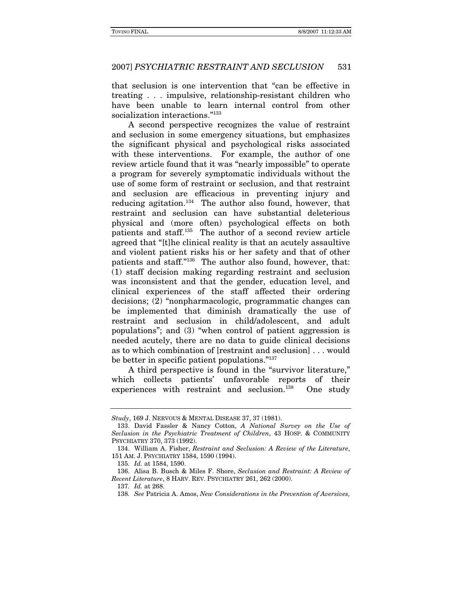that seclusion is one intervention that "can be effective in treating . . . impulsive, relationship-resistant children who have been unable to learn internal control from other socialization interactions."<sup>133</sup>

A second perspective recognizes the value of restraint and seclusion in some emergency situations, but emphasizes the significant physical and psychological risks associated with these interventions. For example, the author of one review article found that it was "nearly impossible" to operate a program for severely symptomatic individuals without the use of some form of restraint or seclusion, and that restraint and seclusion are efficacious in preventing injury and reducing agitation.<sup>134</sup> The author also found, however, that restraint and seclusion can have substantial deleterious physical and (more often) psychological effects on both patients and staff.135 The author of a second review article agreed that "[t]he clinical reality is that an acutely assaultive and violent patient risks his or her safety and that of other patients and staff."136 The author also found, however, that: (1) staff decision making regarding restraint and seclusion was inconsistent and that the gender, education level, and clinical experiences of the staff affected their ordering decisions; (2) "nonpharmacologic, programmatic changes can be implemented that diminish dramatically the use of restraint and seclusion in child/adolescent, and adult populations"; and (3) "when control of patient aggression is needed acutely, there are no data to guide clinical decisions as to which combination of [restraint and seclusion] . . . would be better in specific patient populations."137

A third perspective is found in the "survivor literature," which collects patients' unfavorable reports of their experiences with restraint and seclusion.<sup>138</sup> One study

Study, 169 J. NERVOUS & MENTAL DISEASE 37, 37 (1981).

 <sup>133.</sup> David Fassler & Nancy Cotton, A National Survey on the Use of Seclusion in the Psychiatric Treatment of Children, 43 HOSP. & COMMUNITY PSYCHIATRY 370, 373 (1992).

 <sup>134.</sup> William A. Fisher, Restraint and Seclusion: A Review of the Literature, 151 AM. J. PSYCHIATRY 1584, 1590 (1994).

<sup>135</sup>. Id. at 1584, 1590.

 <sup>136.</sup> Alisa B. Busch & Miles F. Shore, Seclusion and Restraint: A Review of Recent Literature, 8 HARV. REV. PSYCHIATRY 261, 262 (2000).

<sup>137</sup>. Id. at 268.

<sup>138</sup>. See Patricia A. Amos, New Considerations in the Prevention of Aversives,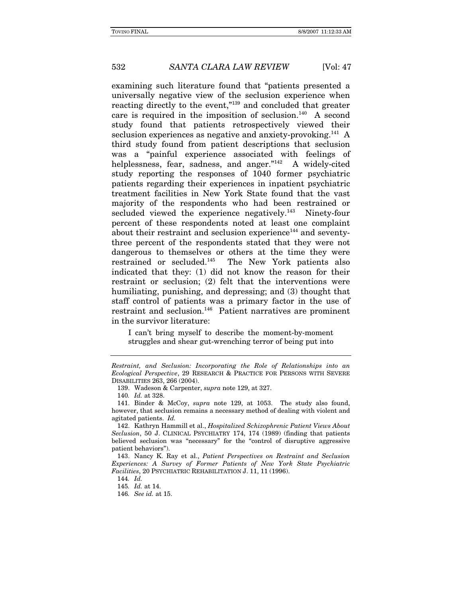examining such literature found that "patients presented a universally negative view of the seclusion experience when reacting directly to the event,"139 and concluded that greater care is required in the imposition of seclusion.<sup>140</sup> A second study found that patients retrospectively viewed their seclusion experiences as negative and anxiety-provoking.<sup>141</sup> A third study found from patient descriptions that seclusion was a "painful experience associated with feelings of helplessness, fear, sadness, and anger."142 A widely-cited study reporting the responses of 1040 former psychiatric patients regarding their experiences in inpatient psychiatric treatment facilities in New York State found that the vast majority of the respondents who had been restrained or secluded viewed the experience negatively.<sup>143</sup> Ninety-four percent of these respondents noted at least one complaint about their restraint and seclusion experience<sup>144</sup> and seventythree percent of the respondents stated that they were not dangerous to themselves or others at the time they were restrained or secluded.145 The New York patients also indicated that they: (1) did not know the reason for their restraint or seclusion; (2) felt that the interventions were humiliating, punishing, and depressing; and (3) thought that staff control of patients was a primary factor in the use of restraint and seclusion.146 Patient narratives are prominent in the survivor literature:

I can't bring myself to describe the moment-by-moment struggles and shear gut-wrenching terror of being put into

Restraint, and Seclusion: Incorporating the Role of Relationships into an Ecological Perspective, 29 RESEARCH & PRACTICE FOR PERSONS WITH SEVERE DISABILITIES 263, 266 (2004).

 <sup>139.</sup> Wadeson & Carpenter, supra note 129, at 327.

<sup>140</sup>. Id. at 328.

 <sup>141.</sup> Binder & McCoy, supra note 129, at 1053. The study also found, however, that seclusion remains a necessary method of dealing with violent and agitated patients. Id.

 <sup>142.</sup> Kathryn Hammill et al., Hospitalized Schizophrenic Patient Views About Seclusion, 50 J. CLINICAL PSYCHIATRY 174, 174 (1989) (finding that patients believed seclusion was "necessary" for the "control of disruptive aggressive patient behaviors").

 <sup>143.</sup> Nancy K. Ray et al., Patient Perspectives on Restraint and Seclusion Experiences: A Survey of Former Patients of New York State Psychiatric Facilities, 20 PSYCHIATRIC REHABILITATION J. 11, 11 (1996).

<sup>144</sup>. Id.

<sup>145</sup>. Id. at 14.

<sup>146</sup>. See id. at 15.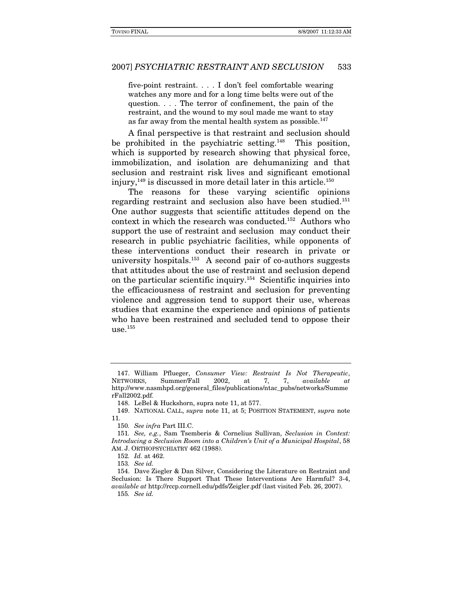five-point restraint. . . . I don't feel comfortable wearing watches any more and for a long time belts were out of the question. . . . The terror of confinement, the pain of the restraint, and the wound to my soul made me want to stay as far away from the mental health system as possible.<sup>147</sup>

A final perspective is that restraint and seclusion should be prohibited in the psychiatric setting.<sup>148</sup> This position, which is supported by research showing that physical force, immobilization, and isolation are dehumanizing and that seclusion and restraint risk lives and significant emotional injury,<sup>149</sup> is discussed in more detail later in this article.<sup>150</sup>

The reasons for these varying scientific opinions regarding restraint and seclusion also have been studied.<sup>151</sup> One author suggests that scientific attitudes depend on the context in which the research was conducted.152 Authors who support the use of restraint and seclusion may conduct their research in public psychiatric facilities, while opponents of these interventions conduct their research in private or university hospitals. $153$  A second pair of co-authors suggests that attitudes about the use of restraint and seclusion depend on the particular scientific inquiry.154 Scientific inquiries into the efficaciousness of restraint and seclusion for preventing violence and aggression tend to support their use, whereas studies that examine the experience and opinions of patients who have been restrained and secluded tend to oppose their use.155

<sup>147.</sup> William Pflueger, Consumer View: Restraint Is Not Therapeutic, NETWORKS, Summer/Fall 2002, at 7, 7, available at at 7, 7, available at http://www.nasmhpd.org/general\_files/publications/ntac\_pubs/networks/Summe rFall2002.pdf.

 <sup>148.</sup> LeBel & Huckshorn, supra note 11, at 577.

 <sup>149.</sup> NATIONAL CALL, supra note 11, at 5; POSITION STATEMENT, supra note 11.

<sup>150</sup>. See infra Part III.C.

<sup>151</sup>. See, e.g., Sam Tsemberis & Cornelius Sullivan, Seclusion in Context: Introducing a Seclusion Room into a Children's Unit of a Municipal Hospital, 58 AM. J. ORTHOPSYCHIATRY 462 (1988).

<sup>152</sup>. Id. at 462.

<sup>153</sup>. See id.

 <sup>154.</sup> Dave Ziegler & Dan Silver, Considering the Literature on Restraint and Seclusion: Is There Support That These Interventions Are Harmful? 3-4, available at http://rccp.cornell.edu/pdfs/Zeigler.pdf (last visited Feb. 26, 2007).

<sup>155</sup>. See id.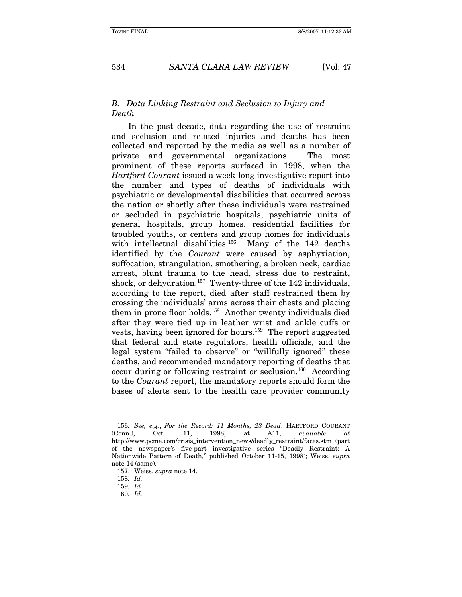### B. Data Linking Restraint and Seclusion to Injury and Death

In the past decade, data regarding the use of restraint and seclusion and related injuries and deaths has been collected and reported by the media as well as a number of private and governmental organizations. The most prominent of these reports surfaced in 1998, when the Hartford Courant issued a week-long investigative report into the number and types of deaths of individuals with psychiatric or developmental disabilities that occurred across the nation or shortly after these individuals were restrained or secluded in psychiatric hospitals, psychiatric units of general hospitals, group homes, residential facilities for troubled youths, or centers and group homes for individuals with intellectual disabilities.<sup>156</sup> Many of the 142 deaths identified by the Courant were caused by asphyxiation, suffocation, strangulation, smothering, a broken neck, cardiac arrest, blunt trauma to the head, stress due to restraint, shock, or dehydration.<sup>157</sup> Twenty-three of the 142 individuals, according to the report, died after staff restrained them by crossing the individuals' arms across their chests and placing them in prone floor holds.158 Another twenty individuals died after they were tied up in leather wrist and ankle cuffs or vests, having been ignored for hours.159 The report suggested that federal and state regulators, health officials, and the legal system "failed to observe" or "willfully ignored" these deaths, and recommended mandatory reporting of deaths that occur during or following restraint or seclusion.160 According to the Courant report, the mandatory reports should form the bases of alerts sent to the health care provider community

<sup>156</sup>. See, e.g., For the Record: 11 Months, 23 Dead, HARTFORD COURANT  $(Conn.)$ , Oct. 11, 1998, at A11, *available at* http://www.pcma.com/crisis\_intervention\_news/deadly\_restraint/faces.stm (part of the newspaper's five-part investigative series "Deadly Restraint: A Nationwide Pattern of Death," published October 11-15, 1998); Weiss, supra note 14 (same).

 <sup>157.</sup> Weiss, supra note 14.

<sup>158</sup>. Id.

<sup>159</sup>. Id.

<sup>160</sup>. Id.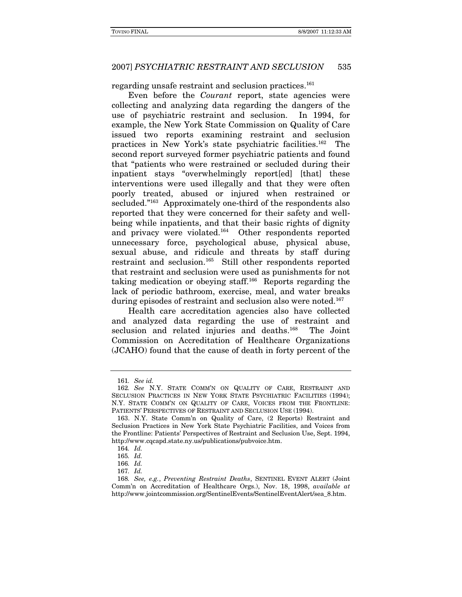regarding unsafe restraint and seclusion practices.<sup>161</sup>

Even before the Courant report, state agencies were collecting and analyzing data regarding the dangers of the use of psychiatric restraint and seclusion. In 1994, for example, the New York State Commission on Quality of Care issued two reports examining restraint and seclusion practices in New York's state psychiatric facilities.162 The second report surveyed former psychiatric patients and found that "patients who were restrained or secluded during their inpatient stays "overwhelmingly report[ed] [that] these interventions were used illegally and that they were often poorly treated, abused or injured when restrained or secluded."<sup>163</sup> Approximately one-third of the respondents also reported that they were concerned for their safety and wellbeing while inpatients, and that their basic rights of dignity and privacy were violated.<sup>164</sup> Other respondents reported unnecessary force, psychological abuse, physical abuse, sexual abuse, and ridicule and threats by staff during restraint and seclusion.165 Still other respondents reported that restraint and seclusion were used as punishments for not taking medication or obeying staff.166 Reports regarding the lack of periodic bathroom, exercise, meal, and water breaks during episodes of restraint and seclusion also were noted.<sup>167</sup>

Health care accreditation agencies also have collected and analyzed data regarding the use of restraint and seclusion and related injuries and deaths.<sup>168</sup> The Joint Commission on Accreditation of Healthcare Organizations (JCAHO) found that the cause of death in forty percent of the

<sup>161</sup>. See id.

<sup>162</sup>. See N.Y. STATE COMM'N ON QUALITY OF CARE, RESTRAINT AND SECLUSION PRACTICES IN NEW YORK STATE PSYCHIATRIC FACILITIES (1994); N.Y. STATE COMM'N ON QUALITY OF CARE, VOICES FROM THE FRONTLINE: PATIENTS' PERSPECTIVES OF RESTRAINT AND SECLUSION USE (1994).

 <sup>163.</sup> N.Y. State Comm'n on Quality of Care, (2 Reports) Restraint and Seclusion Practices in New York State Psychiatric Facilities, and Voices from the Frontline: Patients' Perspectives of Restraint and Seclusion Use, Sept. 1994, http://www.cqcapd.state.ny.us/publications/pubvoice.htm.

<sup>164</sup>. Id.

<sup>165</sup>. Id.

<sup>166</sup>. Id.

<sup>167</sup>. Id.

<sup>168</sup>. See, e.g., Preventing Restraint Deaths, SENTINEL EVENT ALERT (Joint Comm'n on Accreditation of Healthcare Orgs.), Nov. 18, 1998, available at http://www.jointcommission.org/SentinelEvents/SentinelEventAlert/sea\_8.htm.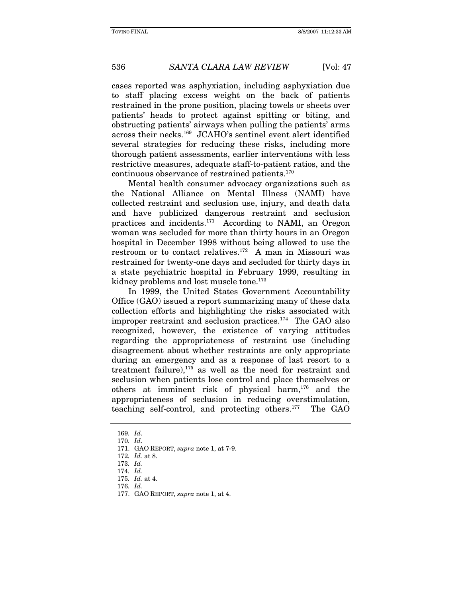cases reported was asphyxiation, including asphyxiation due to staff placing excess weight on the back of patients restrained in the prone position, placing towels or sheets over patients' heads to protect against spitting or biting, and obstructing patients' airways when pulling the patients' arms across their necks.169 JCAHO's sentinel event alert identified several strategies for reducing these risks, including more thorough patient assessments, earlier interventions with less restrictive measures, adequate staff-to-patient ratios, and the continuous observance of restrained patients.170

Mental health consumer advocacy organizations such as the National Alliance on Mental Illness (NAMI) have collected restraint and seclusion use, injury, and death data and have publicized dangerous restraint and seclusion practices and incidents.171 According to NAMI, an Oregon woman was secluded for more than thirty hours in an Oregon hospital in December 1998 without being allowed to use the restroom or to contact relatives.172 A man in Missouri was restrained for twenty-one days and secluded for thirty days in a state psychiatric hospital in February 1999, resulting in kidney problems and lost muscle tone.<sup>173</sup>

In 1999, the United States Government Accountability Office (GAO) issued a report summarizing many of these data collection efforts and highlighting the risks associated with improper restraint and seclusion practices. $174$  The GAO also recognized, however, the existence of varying attitudes regarding the appropriateness of restraint use (including disagreement about whether restraints are only appropriate during an emergency and as a response of last resort to a treatment failure), $175$  as well as the need for restraint and seclusion when patients lose control and place themselves or others at imminent risk of physical harm,176 and the appropriateness of seclusion in reducing overstimulation, teaching self-control, and protecting others.177 The GAO

<sup>169</sup>. Id.

<sup>170</sup>. Id.

 <sup>171.</sup> GAO REPORT, supra note 1, at 7-9.

<sup>172</sup>. Id. at 8.

<sup>173</sup>. Id.

<sup>174</sup>. Id.

<sup>175</sup>. Id. at 4.

<sup>176</sup>. Id.

 <sup>177.</sup> GAO REPORT, supra note 1, at 4.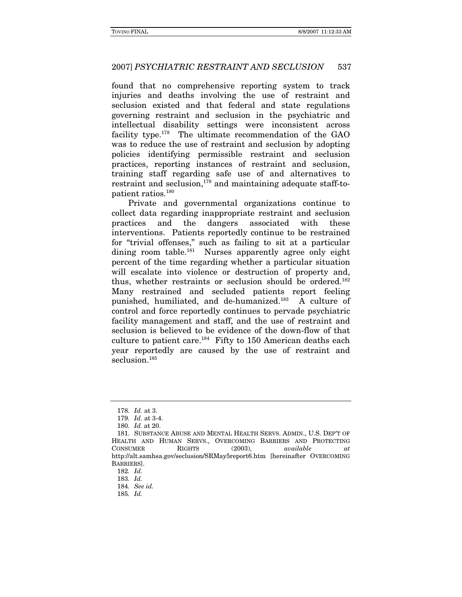found that no comprehensive reporting system to track injuries and deaths involving the use of restraint and seclusion existed and that federal and state regulations governing restraint and seclusion in the psychiatric and intellectual disability settings were inconsistent across facility type.178 The ultimate recommendation of the GAO was to reduce the use of restraint and seclusion by adopting policies identifying permissible restraint and seclusion practices, reporting instances of restraint and seclusion, training staff regarding safe use of and alternatives to restraint and seclusion, $179$  and maintaining adequate staff-topatient ratios.180

Private and governmental organizations continue to collect data regarding inappropriate restraint and seclusion practices and the dangers associated with these interventions. Patients reportedly continue to be restrained for "trivial offenses," such as failing to sit at a particular dining room table.<sup>181</sup> Nurses apparently agree only eight percent of the time regarding whether a particular situation will escalate into violence or destruction of property and, thus, whether restraints or seclusion should be ordered.182 Many restrained and secluded patients report feeling punished, humiliated, and de-humanized.183 A culture of control and force reportedly continues to pervade psychiatric facility management and staff, and the use of restraint and seclusion is believed to be evidence of the down-flow of that culture to patient care.184 Fifty to 150 American deaths each year reportedly are caused by the use of restraint and seclusion.<sup>185</sup>

<sup>178</sup>. Id. at 3.

<sup>179</sup>. Id. at 3-4.

<sup>180</sup>. Id. at 20.

 <sup>181.</sup> SUBSTANCE ABUSE AND MENTAL HEALTH SERVS. ADMIN., U.S. DEP'T OF HEALTH AND HUMAN SERVS., OVERCOMING BARRIERS AND PROTECTING CONSUMER RIGHTS (2003), available at http://alt.samhsa.gov/seclusion/SRMay5report6.htm [hereinafter OVERCOMING BARRIERS].

<sup>182</sup>. Id.

<sup>183</sup>. Id.

<sup>184</sup>. See id.

<sup>185</sup>. Id.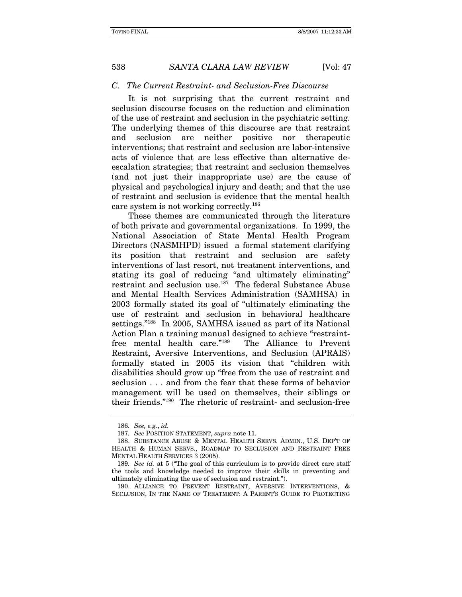#### C. The Current Restraint- and Seclusion-Free Discourse

It is not surprising that the current restraint and seclusion discourse focuses on the reduction and elimination of the use of restraint and seclusion in the psychiatric setting. The underlying themes of this discourse are that restraint and seclusion are neither positive nor therapeutic interventions; that restraint and seclusion are labor-intensive acts of violence that are less effective than alternative deescalation strategies; that restraint and seclusion themselves (and not just their inappropriate use) are the cause of physical and psychological injury and death; and that the use of restraint and seclusion is evidence that the mental health care system is not working correctly.186

These themes are communicated through the literature of both private and governmental organizations. In 1999, the National Association of State Mental Health Program Directors (NASMHPD) issued a formal statement clarifying its position that restraint and seclusion are safety interventions of last resort, not treatment interventions, and stating its goal of reducing "and ultimately eliminating" restraint and seclusion use.<sup>187</sup> The federal Substance Abuse and Mental Health Services Administration (SAMHSA) in 2003 formally stated its goal of "ultimately eliminating the use of restraint and seclusion in behavioral healthcare settings."188 In 2005, SAMHSA issued as part of its National Action Plan a training manual designed to achieve "restraintfree mental health care."189 The Alliance to Prevent Restraint, Aversive Interventions, and Seclusion (APRAIS) formally stated in 2005 its vision that "children with disabilities should grow up "free from the use of restraint and seclusion . . . and from the fear that these forms of behavior management will be used on themselves, their siblings or their friends."190 The rhetoric of restraint- and seclusion-free

<sup>186</sup>. See, e.g., id.

<sup>187</sup>. See POSITION STATEMENT, supra note 11.

 <sup>188.</sup> SUBSTANCE ABUSE & MENTAL HEALTH SERVS. ADMIN., U.S. DEP'T OF HEALTH & HUMAN SERVS., ROADMAP TO SECLUSION AND RESTRAINT FREE MENTAL HEALTH SERVICES 3 (2005).

<sup>189</sup>. See id. at 5 ("The goal of this curriculum is to provide direct care staff the tools and knowledge needed to improve their skills in preventing and ultimately eliminating the use of seclusion and restraint.").

 <sup>190.</sup> ALLIANCE TO PREVENT RESTRAINT, AVERSIVE INTERVENTIONS, & SECLUSION, IN THE NAME OF TREATMENT: A PARENT'S GUIDE TO PROTECTING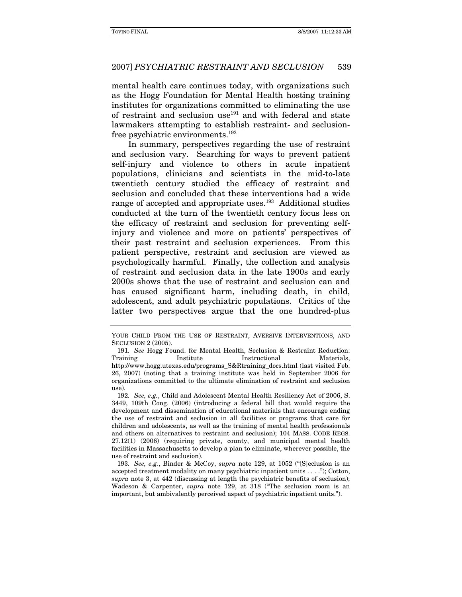mental health care continues today, with organizations such as the Hogg Foundation for Mental Health hosting training institutes for organizations committed to eliminating the use of restraint and seclusion use<sup>191</sup> and with federal and state lawmakers attempting to establish restraint- and seclusionfree psychiatric environments.192

In summary, perspectives regarding the use of restraint and seclusion vary. Searching for ways to prevent patient self-injury and violence to others in acute inpatient populations, clinicians and scientists in the mid-to-late twentieth century studied the efficacy of restraint and seclusion and concluded that these interventions had a wide range of accepted and appropriate uses.<sup>193</sup> Additional studies conducted at the turn of the twentieth century focus less on the efficacy of restraint and seclusion for preventing selfinjury and violence and more on patients' perspectives of their past restraint and seclusion experiences. From this patient perspective, restraint and seclusion are viewed as psychologically harmful. Finally, the collection and analysis of restraint and seclusion data in the late 1900s and early 2000s shows that the use of restraint and seclusion can and has caused significant harm, including death, in child, adolescent, and adult psychiatric populations. Critics of the latter two perspectives argue that the one hundred-plus

YOUR CHILD FROM THE USE OF RESTRAINT, AVERSIVE INTERVENTIONS, AND SECLUSION 2 (2005).

<sup>191</sup>. See Hogg Found. for Mental Health, Seclusion & Restraint Reduction: Training **Institute** Instructional Materials, http://www.hogg.utexas.edu/programs\_S&Rtraining\_docs.html (last visited Feb. 26, 2007) (noting that a training institute was held in September 2006 for organizations committed to the ultimate elimination of restraint and seclusion use).

<sup>192</sup>. See, e.g., Child and Adolescent Mental Health Resiliency Act of 2006, S. 3449, 109th Cong. (2006) (introducing a federal bill that would require the development and dissemination of educational materials that encourage ending the use of restraint and seclusion in all facilities or programs that care for children and adolescents, as well as the training of mental health professionals and others on alternatives to restraint and seclusion); 104 MASS. CODE REGS. 27.12(1) (2006) (requiring private, county, and municipal mental health facilities in Massachusetts to develop a plan to eliminate, wherever possible, the use of restraint and seclusion).

<sup>193</sup>. See, e.g., Binder & McCoy, supra note 129, at 1052 ("[S]eclusion is an accepted treatment modality on many psychiatric inpatient units . . . ."); Cotton, supra note 3, at 442 (discussing at length the psychiatric benefits of seclusion); Wadeson & Carpenter, supra note 129, at 318 ("The seclusion room is an important, but ambivalently perceived aspect of psychiatric inpatient units.").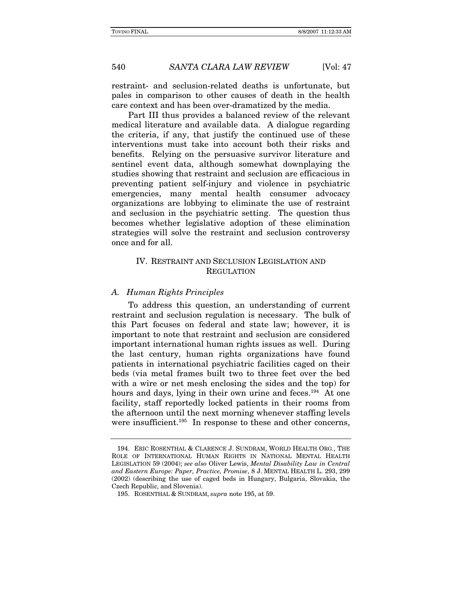restraint- and seclusion-related deaths is unfortunate, but pales in comparison to other causes of death in the health care context and has been over-dramatized by the media.

Part III thus provides a balanced review of the relevant medical literature and available data. A dialogue regarding the criteria, if any, that justify the continued use of these interventions must take into account both their risks and benefits. Relying on the persuasive survivor literature and sentinel event data, although somewhat downplaying the studies showing that restraint and seclusion are efficacious in preventing patient self-injury and violence in psychiatric emergencies, many mental health consumer advocacy organizations are lobbying to eliminate the use of restraint and seclusion in the psychiatric setting. The question thus becomes whether legislative adoption of these elimination strategies will solve the restraint and seclusion controversy once and for all.

### IV. RESTRAINT AND SECLUSION LEGISLATION AND **REGULATION**

#### A. Human Rights Principles

To address this question, an understanding of current restraint and seclusion regulation is necessary. The bulk of this Part focuses on federal and state law; however, it is important to note that restraint and seclusion are considered important international human rights issues as well. During the last century, human rights organizations have found patients in international psychiatric facilities caged on their beds (via metal frames built two to three feet over the bed with a wire or net mesh enclosing the sides and the top) for hours and days, lying in their own urine and feces.<sup>194</sup> At one facility, staff reportedly locked patients in their rooms from the afternoon until the next morning whenever staffing levels were insufficient.<sup>195</sup> In response to these and other concerns,

 <sup>194.</sup> ERIC ROSENTHAL & CLARENCE J. SUNDRAM, WORLD HEALTH ORG., THE ROLE OF INTERNATIONAL HUMAN RIGHTS IN NATIONAL MENTAL HEALTH LEGISLATION 59 (2004); see also Oliver Lewis, Mental Disability Law in Central and Eastern Europe: Paper, Practice, Promise, 8 J. MENTAL HEALTH L. 293, 299 (2002) (describing the use of caged beds in Hungary, Bulgaria, Slovakia, the Czech Republic, and Slovenia).

 <sup>195.</sup> ROSENTHAL & SUNDRAM, supra note 195, at 59.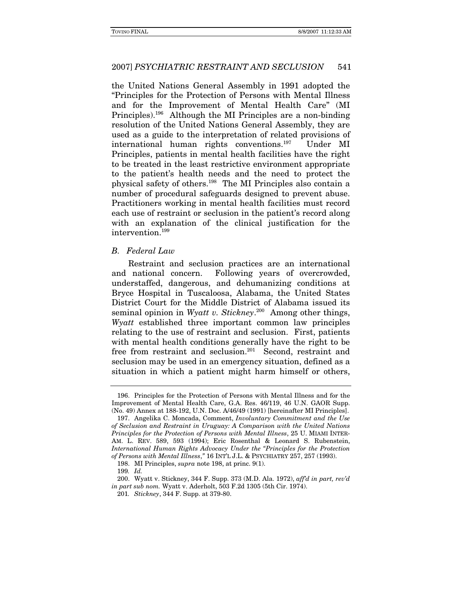the United Nations General Assembly in 1991 adopted the "Principles for the Protection of Persons with Mental Illness and for the Improvement of Mental Health Care" (MI Principles).196 Although the MI Principles are a non-binding resolution of the United Nations General Assembly, they are used as a guide to the interpretation of related provisions of international human rights conventions.197 Under MI Principles, patients in mental health facilities have the right to be treated in the least restrictive environment appropriate to the patient's health needs and the need to protect the physical safety of others.198 The MI Principles also contain a number of procedural safeguards designed to prevent abuse. Practitioners working in mental health facilities must record each use of restraint or seclusion in the patient's record along with an explanation of the clinical justification for the intervention.199

#### B. Federal Law

Restraint and seclusion practices are an international and national concern. Following years of overcrowded, understaffed, dangerous, and dehumanizing conditions at Bryce Hospital in Tuscaloosa, Alabama, the United States District Court for the Middle District of Alabama issued its seminal opinion in Wyatt v. Stickney.<sup>200</sup> Among other things, Wyatt established three important common law principles relating to the use of restraint and seclusion. First, patients with mental health conditions generally have the right to be free from restraint and seclusion.201 Second, restraint and seclusion may be used in an emergency situation, defined as a situation in which a patient might harm himself or others,

199. Id.

 <sup>196.</sup> Principles for the Protection of Persons with Mental Illness and for the Improvement of Mental Health Care, G.A. Res. 46/119, 46 U.N. GAOR Supp. (No. 49) Annex at 188-192, U.N. Doc. A/46/49 (1991) [hereinafter MI Principles].

 <sup>197.</sup> Angelika C. Moncada, Comment, Involuntary Commitment and the Use of Seclusion and Restraint in Uruguay: A Comparison with the United Nations Principles for the Protection of Persons with Mental Illness, 25 U. MIAMI INTER-AM. L. REV. 589, 593 (1994); Eric Rosenthal & Leonard S. Rubenstein, International Human Rights Advocacy Under the "Principles for the Protection of Persons with Mental Illness," 16 INT'L J.L. & PSYCHIATRY 257, 257 (1993).

 <sup>198.</sup> MI Principles, supra note 198, at princ. 9(1).

<sup>200.</sup> Wyatt v. Stickney, 344 F. Supp. 373 (M.D. Ala. 1972),  $affd$  in part, rev'd in part sub nom. Wyatt v. Aderholt, 503 F.2d 1305 (5th Cir. 1974).

<sup>201</sup>. Stickney, 344 F. Supp. at 379-80.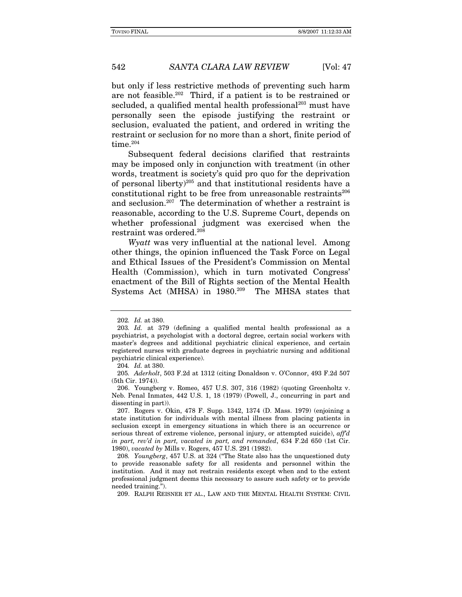but only if less restrictive methods of preventing such harm are not feasible.202 Third, if a patient is to be restrained or secluded, a qualified mental health professional<sup>203</sup> must have personally seen the episode justifying the restraint or seclusion, evaluated the patient, and ordered in writing the restraint or seclusion for no more than a short, finite period of time. $204$ 

Subsequent federal decisions clarified that restraints may be imposed only in conjunction with treatment (in other words, treatment is society's quid pro quo for the deprivation of personal liberty)205 and that institutional residents have a constitutional right to be free from unreasonable restraints<sup>206</sup> and seclusion.207 The determination of whether a restraint is reasonable, according to the U.S. Supreme Court, depends on whether professional judgment was exercised when the restraint was ordered.208

Wyatt was very influential at the national level. Among other things, the opinion influenced the Task Force on Legal and Ethical Issues of the President's Commission on Mental Health (Commission), which in turn motivated Congress' enactment of the Bill of Rights section of the Mental Health Systems Act (MHSA) in 1980.<sup>209</sup> The MHSA states that

205. Aderholt, 503 F.2d at 1312 (citing Donaldson v. O'Connor, 493 F.2d 507 (5th Cir. 1974)).

 206. Youngberg v. Romeo, 457 U.S. 307, 316 (1982) (quoting Greenholtz v. Neb. Penal Inmates, 442 U.S. 1, 18 (1979) (Powell, J., concurring in part and dissenting in part)).

 207. Rogers v. Okin, 478 F. Supp. 1342, 1374 (D. Mass. 1979) (enjoining a state institution for individuals with mental illness from placing patients in seclusion except in emergency situations in which there is an occurrence or serious threat of extreme violence, personal injury, or attempted suicide),  $\alpha f f' d$ in part, rev'd in part, vacated in part, and remanded, 634 F.2d 650 (1st Cir. 1980), vacated by Mills v. Rogers, 457 U.S. 291 (1982).

209. RALPH REISNER ET AL., LAW AND THE MENTAL HEALTH SYSTEM: CIVIL

<sup>202</sup>. Id. at 380.

<sup>203</sup>. Id. at 379 (defining a qualified mental health professional as a psychiatrist, a psychologist with a doctoral degree, certain social workers with master's degrees and additional psychiatric clinical experience, and certain registered nurses with graduate degrees in psychiatric nursing and additional psychiatric clinical experience).

<sup>204</sup>. Id. at 380.

<sup>208</sup>. Youngberg, 457 U.S. at 324 ("The State also has the unquestioned duty to provide reasonable safety for all residents and personnel within the institution. And it may not restrain residents except when and to the extent professional judgment deems this necessary to assure such safety or to provide needed training.").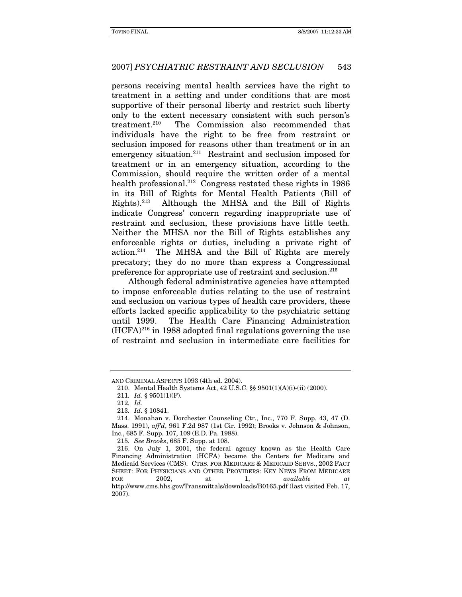persons receiving mental health services have the right to treatment in a setting and under conditions that are most supportive of their personal liberty and restrict such liberty only to the extent necessary consistent with such person's treatment.210 The Commission also recommended that individuals have the right to be free from restraint or seclusion imposed for reasons other than treatment or in an emergency situation.<sup>211</sup> Restraint and seclusion imposed for treatment or in an emergency situation, according to the Commission, should require the written order of a mental health professional.<sup>212</sup> Congress restated these rights in 1986 in its Bill of Rights for Mental Health Patients (Bill of Rights).213 Although the MHSA and the Bill of Rights indicate Congress' concern regarding inappropriate use of restraint and seclusion, these provisions have little teeth. Neither the MHSA nor the Bill of Rights establishes any enforceable rights or duties, including a private right of action.214 The MHSA and the Bill of Rights are merely precatory; they do no more than express a Congressional preference for appropriate use of restraint and seclusion.215

Although federal administrative agencies have attempted to impose enforceable duties relating to the use of restraint and seclusion on various types of health care providers, these efforts lacked specific applicability to the psychiatric setting until 1999. The Health Care Financing Administration  $(HCFA)^{216}$  in 1988 adopted final regulations governing the use of restraint and seclusion in intermediate care facilities for

AND CRIMINAL ASPECTS 1093 (4th ed. 2004).

 <sup>210.</sup> Mental Health Systems Act, 42 U.S.C. §§ 9501(1)(A)(i)-(ii) (2000).

<sup>211</sup>. Id. § 9501(1)(F).

<sup>212</sup>. Id.

<sup>213</sup>. Id. § 10841.

 <sup>214.</sup> Monahan v. Dorchester Counseling Ctr., Inc., 770 F. Supp. 43, 47 (D. Mass. 1991), aff'd, 961 F.2d 987 (1st Cir. 1992); Brooks v. Johnson & Johnson, Inc., 685 F. Supp. 107, 109 (E.D. Pa. 1988).

<sup>215</sup>. See Brooks, 685 F. Supp. at 108.

 <sup>216.</sup> On July 1, 2001, the federal agency known as the Health Care Financing Administration (HCFA) became the Centers for Medicare and Medicaid Services (CMS). CTRS. FOR MEDICARE & MEDICAID SERVS., 2002 FACT SHEET: FOR PHYSICIANS AND OTHER PROVIDERS: KEY NEWS FROM MEDICARE FOR 2002, at 1, available at  $\alpha$ http://www.cms.hhs.gov/Transmittals/downloads/B0165.pdf (last visited Feb. 17, 2007).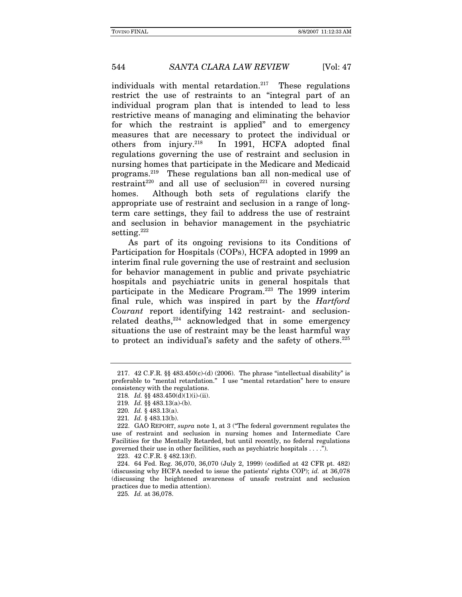individuals with mental retardation.<sup>217</sup> These regulations restrict the use of restraints to an "integral part of an individual program plan that is intended to lead to less restrictive means of managing and eliminating the behavior for which the restraint is applied" and to emergency measures that are necessary to protect the individual or others from injury.218 In 1991, HCFA adopted final regulations governing the use of restraint and seclusion in nursing homes that participate in the Medicare and Medicaid programs.219 These regulations ban all non-medical use of  $r$ estraint<sup>220</sup> and all use of seclusion<sup>221</sup> in covered nursing homes. Although both sets of regulations clarify the appropriate use of restraint and seclusion in a range of longterm care settings, they fail to address the use of restraint and seclusion in behavior management in the psychiatric setting.<sup>222</sup>

As part of its ongoing revisions to its Conditions of Participation for Hospitals (COPs), HCFA adopted in 1999 an interim final rule governing the use of restraint and seclusion for behavior management in public and private psychiatric hospitals and psychiatric units in general hospitals that participate in the Medicare Program.<sup>223</sup> The 1999 interim final rule, which was inspired in part by the Hartford Courant report identifying 142 restraint- and seclusionrelated deaths, $224$  acknowledged that in some emergency situations the use of restraint may be the least harmful way to protect an individual's safety and the safety of others.225

 <sup>217. 42</sup> C.F.R. §§ 483.450(c)-(d) (2006). The phrase "intellectual disability" is preferable to "mental retardation." I use "mental retardation" here to ensure consistency with the regulations.

<sup>218</sup>. Id. §§ 483.450(d)(1)(i)-(ii).

<sup>219</sup>. Id. §§ 483.13(a)-(b).

<sup>220</sup>. Id. § 483.13(a).

<sup>221</sup>. Id. § 483.13(b).

 <sup>222.</sup> GAO REPORT, supra note 1, at 3 ("The federal government regulates the use of restraint and seclusion in nursing homes and Intermediate Care Facilities for the Mentally Retarded, but until recently, no federal regulations governed their use in other facilities, such as psychiatric hospitals . . . .").

 <sup>223. 42</sup> C.F.R. § 482.13(f).

 <sup>224. 64</sup> Fed. Reg. 36,070, 36,070 (July 2, 1999) (codified at 42 CFR pt. 482) (discussing why HCFA needed to issue the patients' rights COP); id. at 36,078 (discussing the heightened awareness of unsafe restraint and seclusion practices due to media attention).

<sup>225</sup>. Id. at 36,078.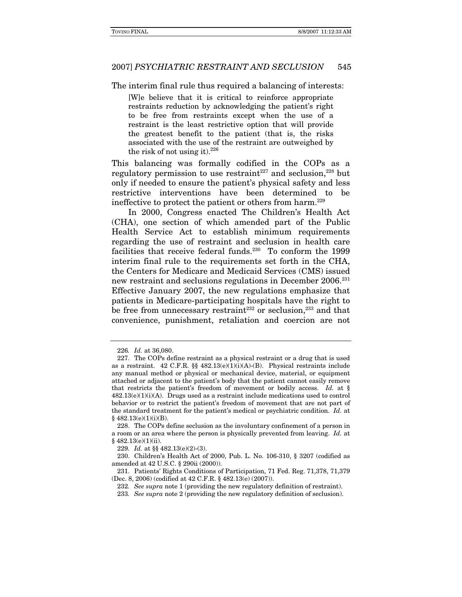The interim final rule thus required a balancing of interests:

[W]e believe that it is critical to reinforce appropriate restraints reduction by acknowledging the patient's right to be free from restraints except when the use of a restraint is the least restrictive option that will provide the greatest benefit to the patient (that is, the risks associated with the use of the restraint are outweighed by the risk of not using it). $226$ 

This balancing was formally codified in the COPs as a regulatory permission to use restraint<sup>227</sup> and seclusion,<sup>228</sup> but only if needed to ensure the patient's physical safety and less restrictive interventions have been determined to be ineffective to protect the patient or others from harm.<sup>229</sup>

In 2000, Congress enacted The Children's Health Act (CHA), one section of which amended part of the Public Health Service Act to establish minimum requirements regarding the use of restraint and seclusion in health care facilities that receive federal funds.<sup>230</sup> To conform the 1999 interim final rule to the requirements set forth in the CHA, the Centers for Medicare and Medicaid Services (CMS) issued new restraint and seclusions regulations in December 2006.231 Effective January 2007, the new regulations emphasize that patients in Medicare-participating hospitals have the right to be free from unnecessary restraint<sup>232</sup> or seclusion,<sup>233</sup> and that convenience, punishment, retaliation and coercion are not

<sup>226</sup>. Id. at 36,080.

 <sup>227.</sup> The COPs define restraint as a physical restraint or a drug that is used as a restraint. 42 C.F.R.  $\S$  482.13(e)(1)(i)(A)-(B). Physical restraints include any manual method or physical or mechanical device, material, or equipment attached or adjacent to the patient's body that the patient cannot easily remove that restricts the patient's freedom of movement or bodily access. Id. at  $\S$  $482.13(e)(1)(i)(A)$ . Drugs used as a restraint include medications used to control behavior or to restrict the patient's freedom of movement that are not part of the standard treatment for the patient's medical or psychiatric condition. Id. at § 482.13(e)(1)(i)(B).

 <sup>228.</sup> The COPs define seclusion as the involuntary confinement of a person in a room or an area where the person is physically prevented from leaving. Id. at  $§ 482.13(e)(1)(ii).$ 

<sup>229</sup>. Id. at §§ 482.13(e)(2)-(3).

 <sup>230.</sup> Children's Health Act of 2000, Pub. L. No. 106-310, § 3207 (codified as amended at 42 U.S.C. § 290ii (2000)).

 <sup>231.</sup> Patients' Rights Conditions of Participation, 71 Fed. Reg. 71,378, 71,379 (Dec. 8, 2006) (codified at 42 C.F.R. § 482.13(e) (2007)).

<sup>232</sup>. See supra note 1 (providing the new regulatory definition of restraint).

<sup>233</sup>. See supra note 2 (providing the new regulatory definition of seclusion).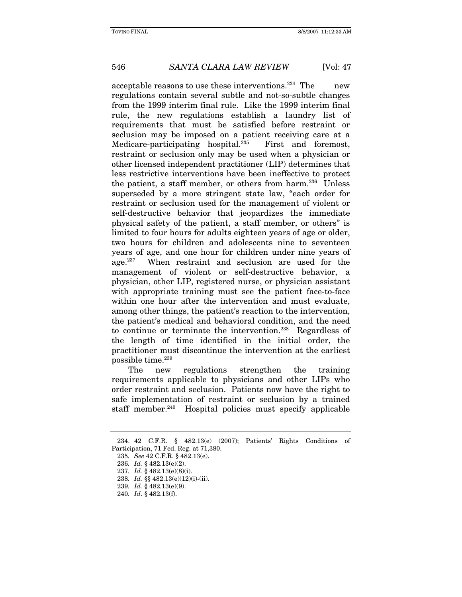acceptable reasons to use these interventions.<sup>234</sup> The new regulations contain several subtle and not-so-subtle changes from the 1999 interim final rule. Like the 1999 interim final rule, the new regulations establish a laundry list of requirements that must be satisfied before restraint or seclusion may be imposed on a patient receiving care at a Medicare-participating hospital.235 First and foremost, restraint or seclusion only may be used when a physician or other licensed independent practitioner (LIP) determines that less restrictive interventions have been ineffective to protect the patient, a staff member, or others from harm.<sup>236</sup> Unless superseded by a more stringent state law, "each order for restraint or seclusion used for the management of violent or self-destructive behavior that jeopardizes the immediate physical safety of the patient, a staff member, or others" is limited to four hours for adults eighteen years of age or older, two hours for children and adolescents nine to seventeen years of age, and one hour for children under nine years of age.237 When restraint and seclusion are used for the management of violent or self-destructive behavior, a physician, other LIP, registered nurse, or physician assistant with appropriate training must see the patient face-to-face within one hour after the intervention and must evaluate, among other things, the patient's reaction to the intervention, the patient's medical and behavioral condition, and the need to continue or terminate the intervention.238 Regardless of the length of time identified in the initial order, the practitioner must discontinue the intervention at the earliest possible time.<sup>239</sup>

The new regulations strengthen the training requirements applicable to physicians and other LIPs who order restraint and seclusion. Patients now have the right to safe implementation of restraint or seclusion by a trained staff member. $240$  Hospital policies must specify applicable

 <sup>234. 42</sup> C.F.R. § 482.13(e) (2007); Patients' Rights Conditions of Participation, 71 Fed. Reg. at 71,380.

<sup>235</sup>. See 42 C.F.R. § 482.13(e).

<sup>236</sup>. Id. § 482.13(e)(2).

<sup>237</sup>. Id. § 482.13(e)(8)(i).

<sup>238</sup>. Id. §§ 482.13(e)(12)(i)-(ii).

<sup>239</sup>. Id. § 482.13(e)(9).

<sup>240</sup>. Id. § 482.13(f).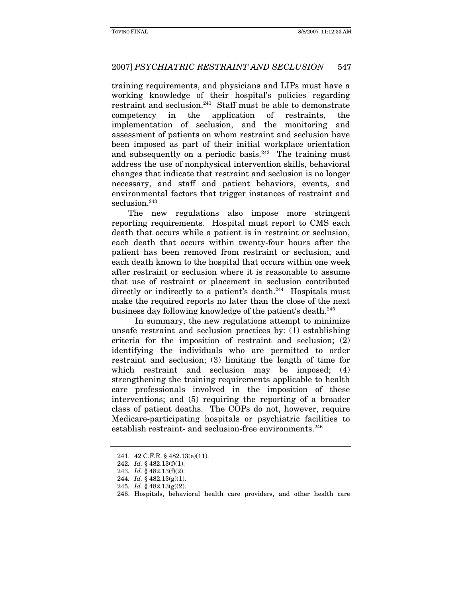training requirements, and physicians and LIPs must have a working knowledge of their hospital's policies regarding restraint and seclusion.241 Staff must be able to demonstrate competency in the application of restraints, the implementation of seclusion, and the monitoring and assessment of patients on whom restraint and seclusion have been imposed as part of their initial workplace orientation and subsequently on a periodic basis. $242$  The training must address the use of nonphysical intervention skills, behavioral changes that indicate that restraint and seclusion is no longer necessary, and staff and patient behaviors, events, and environmental factors that trigger instances of restraint and seclusion.<sup>243</sup>

The new regulations also impose more stringent reporting requirements. Hospital must report to CMS each death that occurs while a patient is in restraint or seclusion, each death that occurs within twenty-four hours after the patient has been removed from restraint or seclusion, and each death known to the hospital that occurs within one week after restraint or seclusion where it is reasonable to assume that use of restraint or placement in seclusion contributed directly or indirectly to a patient's death.<sup>244</sup> Hospitals must make the required reports no later than the close of the next business day following knowledge of the patient's death.245

 In summary, the new regulations attempt to minimize unsafe restraint and seclusion practices by: (1) establishing criteria for the imposition of restraint and seclusion; (2) identifying the individuals who are permitted to order restraint and seclusion; (3) limiting the length of time for which restraint and seclusion may be imposed; (4) strengthening the training requirements applicable to health care professionals involved in the imposition of these interventions; and (5) requiring the reporting of a broader class of patient deaths. The COPs do not, however, require Medicare-participating hospitals or psychiatric facilities to establish restraint- and seclusion-free environments.<sup>246</sup>

 <sup>241. 42</sup> C.F.R. § 482.13(e)(11).

<sup>242</sup>. Id. § 482.13(f)(1).

<sup>243</sup>. Id. § 482.13(f)(2).

<sup>244.</sup> Id.  $\frac{1}{2}$  482.13(g)(1).

<sup>245.</sup> *Id.* §  $482.13(g)(2)$ .

 <sup>246.</sup> Hospitals, behavioral health care providers, and other health care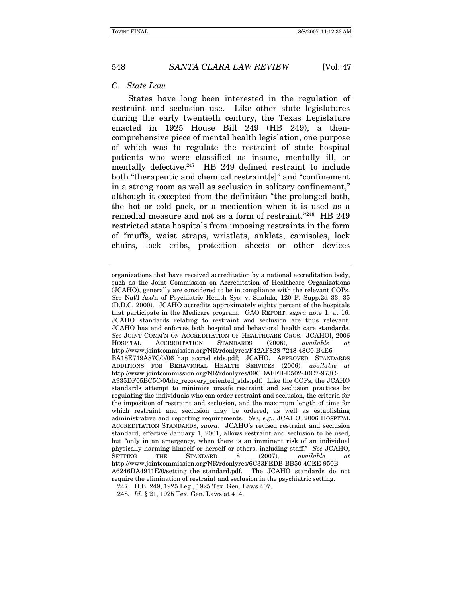#### C. State Law

States have long been interested in the regulation of restraint and seclusion use. Like other state legislatures during the early twentieth century, the Texas Legislature enacted in 1925 House Bill 249 (HB 249), a thencomprehensive piece of mental health legislation, one purpose of which was to regulate the restraint of state hospital patients who were classified as insane, mentally ill, or mentally defective.<sup>247</sup> HB 249 defined restraint to include both "therapeutic and chemical restraint[s]" and "confinement in a strong room as well as seclusion in solitary confinement," although it excepted from the definition "the prolonged bath, the hot or cold pack, or a medication when it is used as a remedial measure and not as a form of restraint."248 HB 249 restricted state hospitals from imposing restraints in the form of "muffs, waist straps, wristlets, anklets, camisoles, lock chairs, lock cribs, protection sheets or other devices

organizations that have received accreditation by a national accreditation body, such as the Joint Commission on Accreditation of Healthcare Organizations (JCAHO), generally are considered to be in compliance with the relevant COPs. See Nat'l Ass'n of Psychiatric Health Sys. v. Shalala, 120 F. Supp.2d 33, 35 (D.D.C. 2000). JCAHO accredits approximately eighty percent of the hospitals that participate in the Medicare program. GAO REPORT, supra note 1, at 16. JCAHO standards relating to restraint and seclusion are thus relevant. JCAHO has and enforces both hospital and behavioral health care standards. See JOINT COMM'N ON ACCREDITATION OF HEALTHCARE ORGS. [JCAHO], 2006 HOSPITAL ACCREDITATION STANDARDS (2006), available at http://www.jointcommission.org/NR/rdonlyres/F42AF828-7248-48C0-B4E6- BA18E719A87C/0/06\_hap\_accred\_stds.pdf; JCAHO, APPROVED STANDARDS ADDITIONS FOR BEHAVIORAL HEALTH SERVICES (2006), available http://www.jointcommission.org/NR/rdonlyres/09CDAFFB-D502-40C7-973C-A935DF05BC5C/0/bhc\_recovery\_oriented\_stds.pdf. Like the COPs, the JCAHO standards attempt to minimize unsafe restraint and seclusion practices by regulating the individuals who can order restraint and seclusion, the criteria for the imposition of restraint and seclusion, and the maximum length of time for which restraint and seclusion may be ordered, as well as establishing administrative and reporting requirements. See, e.g., JCAHO, 2006 HOSPITAL ACCREDITATION STANDARDS, supra. JCAHO's revised restraint and seclusion standard, effective January 1, 2001, allows restraint and seclusion to be used, but "only in an emergency, when there is an imminent risk of an individual physically harming himself or herself or others, including staff." See JCAHO, SETTING THE STANDARD 8 (2007), available at http://www.jointcommission.org/NR/rdonlyres/6C33FEDB-BB50-4CEE-950B-A6246DA4911E/0/setting\_the\_standard.pdf. The JCAHO standards do not require the elimination of restraint and seclusion in the psychiatric setting.

 <sup>247.</sup> H.B. 249, 1925 Leg., 1925 Tex. Gen. Laws 407.

<sup>248</sup>. Id. § 21, 1925 Tex. Gen. Laws at 414.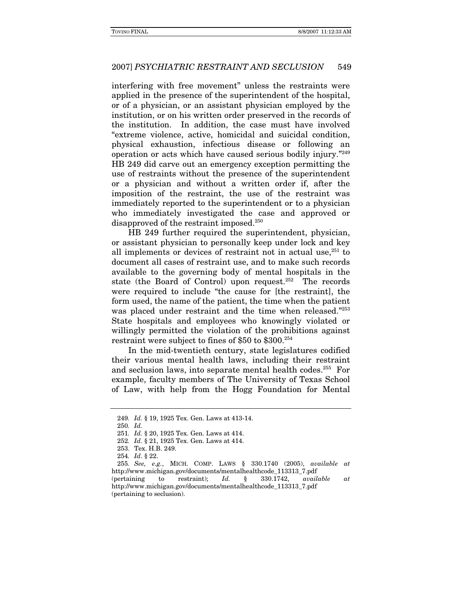interfering with free movement" unless the restraints were applied in the presence of the superintendent of the hospital, or of a physician, or an assistant physician employed by the institution, or on his written order preserved in the records of the institution. In addition, the case must have involved "extreme violence, active, homicidal and suicidal condition, physical exhaustion, infectious disease or following an operation or acts which have caused serious bodily injury."249 HB 249 did carve out an emergency exception permitting the use of restraints without the presence of the superintendent or a physician and without a written order if, after the imposition of the restraint, the use of the restraint was immediately reported to the superintendent or to a physician who immediately investigated the case and approved or disapproved of the restraint imposed.250

HB 249 further required the superintendent, physician, or assistant physician to personally keep under lock and key all implements or devices of restraint not in actual use, $251$  to document all cases of restraint use, and to make such records available to the governing body of mental hospitals in the state (the Board of Control) upon request.252 The records were required to include "the cause for [the restraint], the form used, the name of the patient, the time when the patient was placed under restraint and the time when released."253 State hospitals and employees who knowingly violated or willingly permitted the violation of the prohibitions against restraint were subject to fines of \$50 to \$300.254

In the mid-twentieth century, state legislatures codified their various mental health laws, including their restraint and seclusion laws, into separate mental health codes.255 For example, faculty members of The University of Texas School of Law, with help from the Hogg Foundation for Mental

<sup>249</sup>. Id. § 19, 1925 Tex. Gen. Laws at 413-14.

<sup>250</sup>. Id.

<sup>251</sup>. Id. § 20, 1925 Tex. Gen. Laws at 414.

<sup>252.</sup> Id. § 21, 1925 Tex. Gen. Laws at 414.

 <sup>253.</sup> Tex. H.B. 249.

<sup>254</sup>. Id. § 22.

<sup>255</sup>. See, e.g., MICH. COMP. LAWS § 330.1740 (2005), available at http://www.michigan.gov/documents/mentalhealthcode\_113313\_7.pdf (pertaining to restraint); Id. § 330.1742, available at http://www.michigan.gov/documents/mentalhealthcode\_113313\_7.pdf

<sup>(</sup>pertaining to seclusion).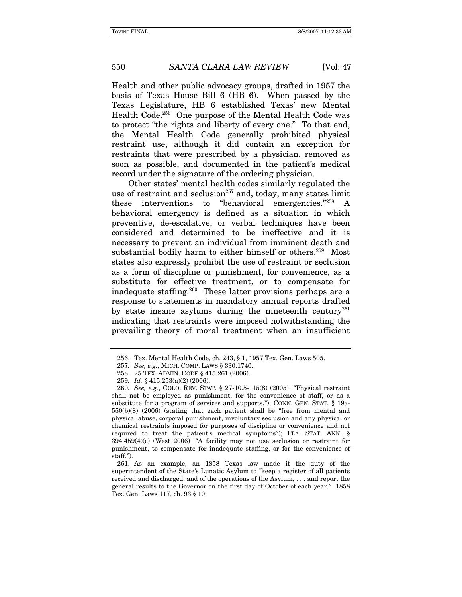Health and other public advocacy groups, drafted in 1957 the basis of Texas House Bill 6 (HB 6). When passed by the Texas Legislature, HB 6 established Texas' new Mental Health Code.256 One purpose of the Mental Health Code was to protect "the rights and liberty of every one." To that end, the Mental Health Code generally prohibited physical restraint use, although it did contain an exception for restraints that were prescribed by a physician, removed as soon as possible, and documented in the patient's medical record under the signature of the ordering physician.

Other states' mental health codes similarly regulated the use of restraint and seclusion<sup>257</sup> and, today, many states limit these interventions to "behavioral emergencies."258 A behavioral emergency is defined as a situation in which preventive, de-escalative, or verbal techniques have been considered and determined to be ineffective and it is necessary to prevent an individual from imminent death and substantial bodily harm to either himself or others.<sup>259</sup> Most states also expressly prohibit the use of restraint or seclusion as a form of discipline or punishment, for convenience, as a substitute for effective treatment, or to compensate for inadequate staffing.<sup>260</sup> These latter provisions perhaps are a response to statements in mandatory annual reports drafted by state insane asylums during the nineteenth century<sup>261</sup> indicating that restraints were imposed notwithstanding the prevailing theory of moral treatment when an insufficient

 261. As an example, an 1858 Texas law made it the duty of the superintendent of the State's Lunatic Asylum to "keep a register of all patients received and discharged, and of the operations of the Asylum, . . . and report the general results to the Governor on the first day of October of each year." 1858 Tex. Gen. Laws 117, ch. 93 § 10.

 <sup>256.</sup> Tex. Mental Health Code, ch. 243, § 1, 1957 Tex. Gen. Laws 505.

<sup>257</sup>. See, e.g., MICH. COMP. LAWS § 330.1740.

 <sup>258. 25</sup> TEX. ADMIN. CODE § 415.261 (2006).

<sup>259</sup>. Id. § 415.253(a)(2) (2006).

<sup>260</sup>. See, e.g., COLO. REV. STAT. § 27-10.5-115(8) (2005) ("Physical restraint shall not be employed as punishment, for the convenience of staff, or as a substitute for a program of services and supports."); CONN. GEN. STAT. § 19a-550(b)(8) (2006) (stating that each patient shall be "free from mental and physical abuse, corporal punishment, involuntary seclusion and any physical or chemical restraints imposed for purposes of discipline or convenience and not required to treat the patient's medical symptoms"); FLA. STAT. ANN. § 394.459(4)(c) (West 2006) ("A facility may not use seclusion or restraint for punishment, to compensate for inadequate staffing, or for the convenience of staff.").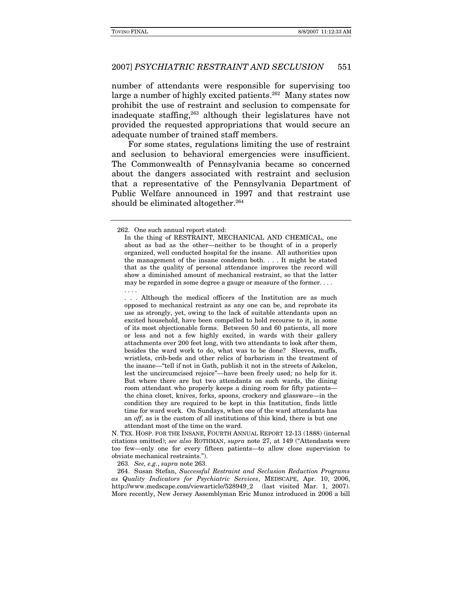. . . .

### 2007] PSYCHIATRIC RESTRAINT AND SECLUSION 551

number of attendants were responsible for supervising too large a number of highly excited patients.<sup>262</sup> Many states now prohibit the use of restraint and seclusion to compensate for inadequate staffing,<sup>263</sup> although their legislatures have not provided the requested appropriations that would secure an adequate number of trained staff members.

For some states, regulations limiting the use of restraint and seclusion to behavioral emergencies were insufficient. The Commonwealth of Pennsylvania became so concerned about the dangers associated with restraint and seclusion that a representative of the Pennsylvania Department of Public Welfare announced in 1997 and that restraint use should be eliminated altogether.<sup>264</sup>

N. TEX. HOSP. FOR THE INSANE, FOURTH ANNUAL REPORT 12-13 (1888) (internal citations omitted); see also ROTHMAN, supra note 27, at 149 ("Attendants were too few—only one for every fifteen patients—to allow close supervision to obviate mechanical restraints.").

263. See, e.g., supra note 263.

 264. Susan Stefan, Successful Restraint and Seclusion Reduction Programs as Quality Indicators for Psychiatric Services, MEDSCAPE, Apr. 10, 2006, http://www.medscape.com/viewarticle/528949\_2 (last visited Mar. 1, 2007). More recently, New Jersey Assemblyman Eric Munoz introduced in 2006 a bill

 <sup>262.</sup> One such annual report stated:

In the thing of RESTRAINT, MECHANICAL AND CHEMICAL, one about as bad as the other—neither to be thought of in a properly organized, well conducted hospital for the insane. All authorities upon the management of the insane condemn both. . . . It might be stated that as the quality of personal attendance improves the record will show a diminished amount of mechanical restraint, so that the latter may be regarded in some degree a gauge or measure of the former. . . .

<sup>. . .</sup> Although the medical officers of the Institution are as much opposed to mechanical restraint as any one can be, and reprobate its use as strongly, yet, owing to the lack of suitable attendants upon an excited household, have been compelled to hold recourse to it, in some of its most objectionable forms. Between 50 and 60 patients, all more or less and not a few highly excited, in wards with their gallery attachments over 200 feet long, with two attendants to look after them, besides the ward work to do, what was to be done? Sleeves, muffs, wristlets, crib-beds and other relics of barbarism in the treatment of the insane—"tell if not in Gath, publish it not in the streets of Askelon, lest the uncircumcised rejoice"—have been freely used; no help for it. But where there are but two attendants on such wards, the dining room attendant who properly keeps a dining room for fifty patients the china closet, knives, forks, spoons, crockery and glassware—in the condition they are required to be kept in this Institution, finds little time for ward work. On Sundays, when one of the ward attendants has an off, as is the custom of all institutions of this kind, there is but one attendant most of the time on the ward.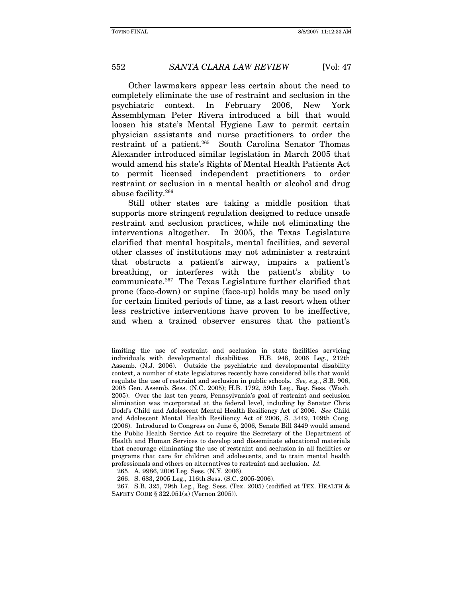Other lawmakers appear less certain about the need to completely eliminate the use of restraint and seclusion in the psychiatric context. In February 2006, New York Assemblyman Peter Rivera introduced a bill that would loosen his state's Mental Hygiene Law to permit certain physician assistants and nurse practitioners to order the restraint of a patient.<sup>265</sup> South Carolina Senator Thomas Alexander introduced similar legislation in March 2005 that would amend his state's Rights of Mental Health Patients Act to permit licensed independent practitioners to order restraint or seclusion in a mental health or alcohol and drug abuse facility.266

Still other states are taking a middle position that supports more stringent regulation designed to reduce unsafe restraint and seclusion practices, while not eliminating the interventions altogether. In 2005, the Texas Legislature clarified that mental hospitals, mental facilities, and several other classes of institutions may not administer a restraint that obstructs a patient's airway, impairs a patient's breathing, or interferes with the patient's ability to communicate.267 The Texas Legislature further clarified that prone (face-down) or supine (face-up) holds may be used only for certain limited periods of time, as a last resort when other less restrictive interventions have proven to be ineffective, and when a trained observer ensures that the patient's

limiting the use of restraint and seclusion in state facilities servicing individuals with developmental disabilities. H.B. 948, 2006 Leg., 212th Assemb. (N.J. 2006). Outside the psychiatric and developmental disability context, a number of state legislatures recently have considered bills that would regulate the use of restraint and seclusion in public schools. See, e.g., S.B. 906, 2005 Gen. Assemb. Sess. (N.C. 2005); H.B. 1792, 59th Leg., Reg. Sess. (Wash. 2005). Over the last ten years, Pennsylvania's goal of restraint and seclusion elimination was incorporated at the federal level, including by Senator Chris Dodd's Child and Adolescent Mental Health Resiliency Act of 2006. See Child and Adolescent Mental Health Resiliency Act of 2006, S. 3449, 109th Cong. (2006). Introduced to Congress on June 6, 2006, Senate Bill 3449 would amend the Public Health Service Act to require the Secretary of the Department of Health and Human Services to develop and disseminate educational materials that encourage eliminating the use of restraint and seclusion in all facilities or programs that care for children and adolescents, and to train mental health professionals and others on alternatives to restraint and seclusion. Id.

 <sup>265.</sup> A. 9986, 2006 Leg. Sess. (N.Y. 2006).

 <sup>266.</sup> S. 683, 2005 Leg., 116th Sess. (S.C. 2005-2006).

 <sup>267.</sup> S.B. 325, 79th Leg., Reg. Sess. (Tex. 2005) (codified at TEX. HEALTH & SAFETY CODE § 322.051(a) (Vernon 2005)).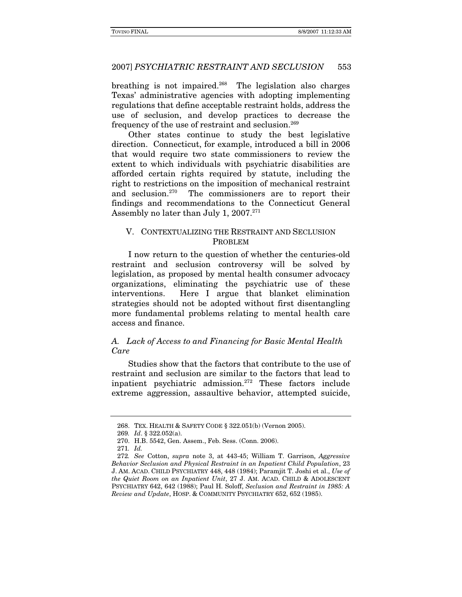breathing is not impaired.268 The legislation also charges Texas' administrative agencies with adopting implementing regulations that define acceptable restraint holds, address the use of seclusion, and develop practices to decrease the frequency of the use of restraint and seclusion.<sup>269</sup>

Other states continue to study the best legislative direction. Connecticut, for example, introduced a bill in 2006 that would require two state commissioners to review the extent to which individuals with psychiatric disabilities are afforded certain rights required by statute, including the right to restrictions on the imposition of mechanical restraint and seclusion.270 The commissioners are to report their findings and recommendations to the Connecticut General Assembly no later than July 1,  $2007.^{271}$ 

#### V. CONTEXTUALIZING THE RESTRAINT AND SECLUSION PROBLEM

I now return to the question of whether the centuries-old restraint and seclusion controversy will be solved by legislation, as proposed by mental health consumer advocacy organizations, eliminating the psychiatric use of these interventions. Here I argue that blanket elimination strategies should not be adopted without first disentangling more fundamental problems relating to mental health care access and finance.

### A. Lack of Access to and Financing for Basic Mental Health Care

Studies show that the factors that contribute to the use of restraint and seclusion are similar to the factors that lead to inpatient psychiatric admission.272 These factors include extreme aggression, assaultive behavior, attempted suicide,

 <sup>268.</sup> TEX. HEALTH & SAFETY CODE § 322.051(b) (Vernon 2005).

<sup>269</sup>. Id. § 322.052(a).

 <sup>270.</sup> H.B. 5542, Gen. Assem., Feb. Sess. (Conn. 2006).

<sup>271</sup>. Id.

<sup>272</sup>. See Cotton, supra note 3, at 443-45; William T. Garrison, Aggressive Behavior Seclusion and Physical Restraint in an Inpatient Child Population, 23 J. AM. ACAD. CHILD PSYCHIATRY 448, 448 (1984); Paramjit T. Joshi et al., Use of the Quiet Room on an Inpatient Unit, 27 J. AM. ACAD. CHILD & ADOLESCENT PSYCHIATRY 642, 642 (1988); Paul H. Soloff, Seclusion and Restraint in 1985: A Review and Update, HOSP. & COMMUNITY PSYCHIATRY 652, 652 (1985).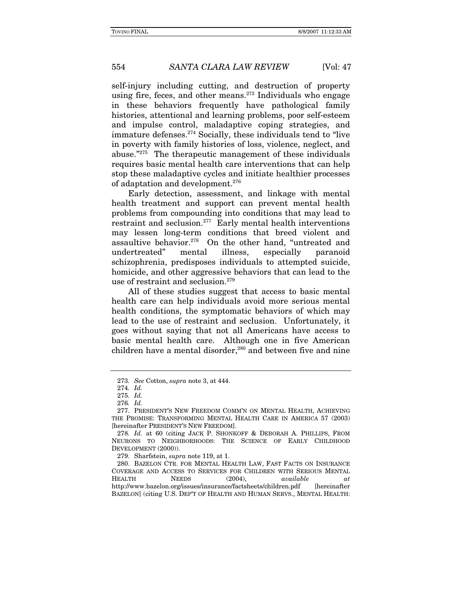self-injury including cutting, and destruction of property using fire, feces, and other means. $273$  Individuals who engage in these behaviors frequently have pathological family histories, attentional and learning problems, poor self-esteem and impulse control, maladaptive coping strategies, and immature defenses.274 Socially, these individuals tend to "live in poverty with family histories of loss, violence, neglect, and abuse."275 The therapeutic management of these individuals requires basic mental health care interventions that can help stop these maladaptive cycles and initiate healthier processes of adaptation and development.276

Early detection, assessment, and linkage with mental health treatment and support can prevent mental health problems from compounding into conditions that may lead to restraint and seclusion.277 Early mental health interventions may lessen long-term conditions that breed violent and assaultive behavior.278 On the other hand, "untreated and undertreated" mental illness, especially paranoid schizophrenia, predisposes individuals to attempted suicide, homicide, and other aggressive behaviors that can lead to the use of restraint and seclusion.<sup>279</sup>

All of these studies suggest that access to basic mental health care can help individuals avoid more serious mental health conditions, the symptomatic behaviors of which may lead to the use of restraint and seclusion. Unfortunately, it goes without saying that not all Americans have access to basic mental health care. Although one in five American children have a mental disorder,<sup>280</sup> and between five and nine

<sup>273</sup>. See Cotton, supra note 3, at 444.

<sup>274</sup>. Id.

<sup>275</sup>. Id.

<sup>276</sup>. Id.

 <sup>277.</sup> PRESIDENT'S NEW FREEDOM COMM'N ON MENTAL HEALTH, ACHIEVING THE PROMISE: TRANSFORMING MENTAL HEALTH CARE IN AMERICA 57 (2003) [hereinafter PRESIDENT'S NEW FREEDOM].

<sup>278</sup>. Id. at 60 (citing JACK P. SHONKOFF & DEBORAH A. PHILLIPS, FROM NEURONS TO NEIGHBORHOODS: THE SCIENCE OF EARLY CHILDHOOD DEVELOPMENT (2000)).

 <sup>279.</sup> Sharfstein, supra note 119, at 1.

 <sup>280.</sup> BAZELON CTR. FOR MENTAL HEALTH LAW, FAST FACTS ON INSURANCE COVERAGE AND ACCESS TO SERVICES FOR CHILDREN WITH SERIOUS MENTAL HEALTH NEEDS (2004), available at http://www.bazelon.org/issues/insurance/factsheets/children.pdf [hereinafter BAZELON] (citing U.S. DEP'T OF HEALTH AND HUMAN SERVS., MENTAL HEALTH: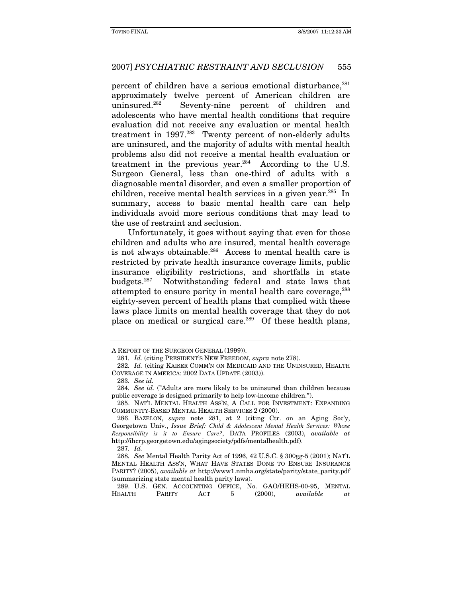percent of children have a serious emotional disturbance,<sup>281</sup> approximately twelve percent of American children are uninsured.282 Seventy-nine percent of children and adolescents who have mental health conditions that require evaluation did not receive any evaluation or mental health treatment in 1997.<sup>283</sup> Twenty percent of non-elderly adults are uninsured, and the majority of adults with mental health problems also did not receive a mental health evaluation or treatment in the previous year.284 According to the U.S. Surgeon General, less than one-third of adults with a diagnosable mental disorder, and even a smaller proportion of children, receive mental health services in a given year.<sup>285</sup> In summary, access to basic mental health care can help individuals avoid more serious conditions that may lead to the use of restraint and seclusion.

Unfortunately, it goes without saying that even for those children and adults who are insured, mental health coverage is not always obtainable.<sup>286</sup> Access to mental health care is restricted by private health insurance coverage limits, public insurance eligibility restrictions, and shortfalls in state budgets.287 Notwithstanding federal and state laws that attempted to ensure parity in mental health care coverage,<sup>288</sup> eighty-seven percent of health plans that complied with these laws place limits on mental health coverage that they do not place on medical or surgical care.<sup>289</sup> Of these health plans,

A REPORT OF THE SURGEON GENERAL (1999)).

<sup>281</sup>. Id. (citing PRESIDENT'S NEW FREEDOM, supra note 278).

<sup>282</sup>. Id. (citing KAISER COMM'N ON MEDICAID AND THE UNINSURED, HEALTH COVERAGE IN AMERICA: 2002 DATA UPDATE (2003)).

<sup>283</sup>. See id.

<sup>284.</sup> See id. ("Adults are more likely to be uninsured than children because public coverage is designed primarily to help low-income children.").

 <sup>285.</sup> NAT'L MENTAL HEALTH ASS'N, A CALL FOR INVESTMENT: EXPANDING COMMUNITY-BASED MENTAL HEALTH SERVICES 2 (2000).

 <sup>286.</sup> BAZELON, supra note 281, at 2 (citing Ctr. on an Aging Soc'y, Georgetown Univ., Issue Brief: *Child & Adolescent Mental Health Services: Whose Responsibility is it to Ensure Care?*, DATA PROFILES (2003), available at http://ihcrp.georgetown.edu/agingsociety/pdfs/mentalhealth.pdf).

<sup>287</sup>. Id.

<sup>288</sup>. See Mental Health Parity Act of 1996, 42 U.S.C. § 300gg-5 (2001); NAT'L MENTAL HEALTH ASS'N, WHAT HAVE STATES DONE TO ENSURE INSURANCE PARITY? (2005), available at http://www1.nmha.org/state/parity/state\_parity.pdf (summarizing state mental health parity laws).

 <sup>289.</sup> U.S. GEN. ACCOUNTING OFFICE, No. GAO/HEHS-00-95, MENTAL HEALTH PARITY ACT 5 (2000), available at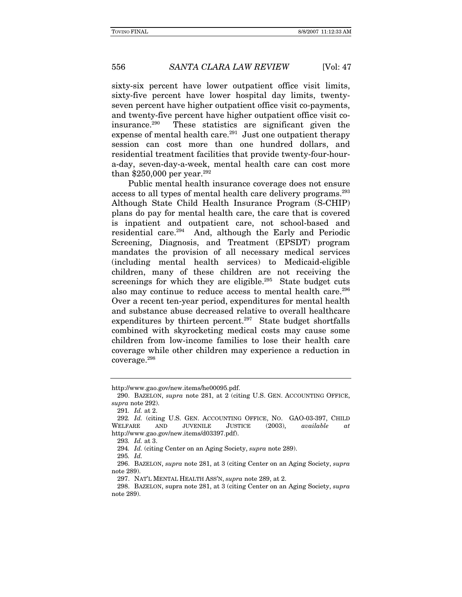sixty-six percent have lower outpatient office visit limits, sixty-five percent have lower hospital day limits, twentyseven percent have higher outpatient office visit co-payments, and twenty-five percent have higher outpatient office visit coinsurance.290 These statistics are significant given the expense of mental health care.<sup>291</sup> Just one outpatient therapy session can cost more than one hundred dollars, and residential treatment facilities that provide twenty-four-houra-day, seven-day-a-week, mental health care can cost more than  $$250,000$  per year.<sup>292</sup>

Public mental health insurance coverage does not ensure access to all types of mental health care delivery programs.293 Although State Child Health Insurance Program (S-CHIP) plans do pay for mental health care, the care that is covered is inpatient and outpatient care, not school-based and residential care.294 And, although the Early and Periodic Screening, Diagnosis, and Treatment (EPSDT) program mandates the provision of all necessary medical services (including mental health services) to Medicaid-eligible children, many of these children are not receiving the screenings for which they are eligible. $295$  State budget cuts also may continue to reduce access to mental health care.<sup>296</sup> Over a recent ten-year period, expenditures for mental health and substance abuse decreased relative to overall healthcare expenditures by thirteen percent.<sup>297</sup> State budget shortfalls combined with skyrocketing medical costs may cause some children from low-income families to lose their health care coverage while other children may experience a reduction in coverage.298

293. Id. at 3.

294. Id. (citing Center on an Aging Society, supra note 289).

295. Id.

http://www.gao.gov/new.items/he00095.pdf.

 <sup>290.</sup> BAZELON, supra note 281, at 2 (citing U.S. GEN. ACCOUNTING OFFICE, supra note 292).

<sup>291</sup>. Id. at 2.

<sup>292</sup>. Id. (citing U.S. GEN. ACCOUNTING OFFICE, NO. GAO-03-397, CHILD WELFARE AND JUVENILE JUSTICE (2003), available at http://www.gao.gov/new.items/d03397.pdf).

 <sup>296.</sup> BAZELON, supra note 281, at 3 (citing Center on an Aging Society, supra note 289).

 <sup>297.</sup> NAT'L MENTAL HEALTH ASS'N, supra note 289, at 2.

 <sup>298.</sup> BAZELON, supra note 281, at 3 (citing Center on an Aging Society, supra note 289).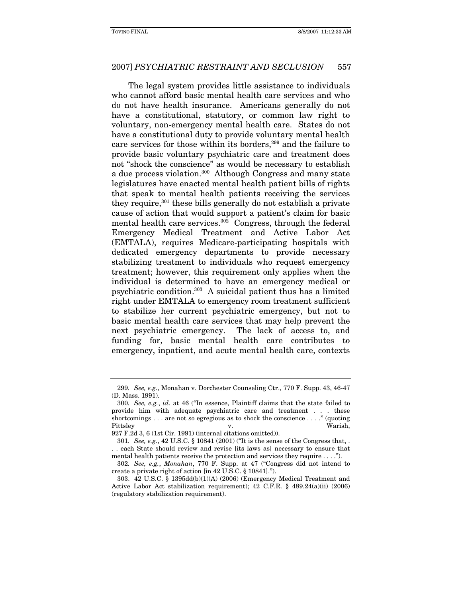The legal system provides little assistance to individuals who cannot afford basic mental health care services and who do not have health insurance. Americans generally do not have a constitutional, statutory, or common law right to voluntary, non-emergency mental health care. States do not have a constitutional duty to provide voluntary mental health care services for those within its borders,<sup>299</sup> and the failure to provide basic voluntary psychiatric care and treatment does not "shock the conscience" as would be necessary to establish a due process violation.300 Although Congress and many state legislatures have enacted mental health patient bills of rights that speak to mental health patients receiving the services they require,<sup>301</sup> these bills generally do not establish a private cause of action that would support a patient's claim for basic mental health care services.<sup>302</sup> Congress, through the federal Emergency Medical Treatment and Active Labor Act (EMTALA), requires Medicare-participating hospitals with dedicated emergency departments to provide necessary stabilizing treatment to individuals who request emergency treatment; however, this requirement only applies when the individual is determined to have an emergency medical or psychiatric condition.303 A suicidal patient thus has a limited right under EMTALA to emergency room treatment sufficient to stabilize her current psychiatric emergency, but not to basic mental health care services that may help prevent the next psychiatric emergency. The lack of access to, and funding for, basic mental health care contributes to emergency, inpatient, and acute mental health care, contexts

<sup>299</sup>. See, e.g., Monahan v. Dorchester Counseling Ctr., 770 F. Supp. 43, 46-47 (D. Mass. 1991).

<sup>300</sup>. See, e.g., id. at 46 ("In essence, Plaintiff claims that the state failed to provide him with adequate psychiatric care and treatment . . . these shortcomings . . . are not so egregious as to shock the conscience . . . ." (quoting Pittsley v. Warish,

<sup>927</sup> F.2d 3, 6 (1st Cir. 1991) (internal citations omitted)).

<sup>301.</sup> See, e.g., 42 U.S.C.  $\S$  10841 (2001) ("It is the sense of the Congress that,. . . each State should review and revise [its laws as] necessary to ensure that mental health patients receive the protection and services they require . . . .").

<sup>302</sup>. See, e.g., Monahan, 770 F. Supp. at 47 ("Congress did not intend to create a private right of action [in 42 U.S.C. § 10841].").

 <sup>303. 42</sup> U.S.C. § 1395dd(b)(1)(A) (2006) (Emergency Medical Treatment and Active Labor Act stabilization requirement); 42 C.F.R. § 489.24(a)(ii) (2006) (regulatory stabilization requirement).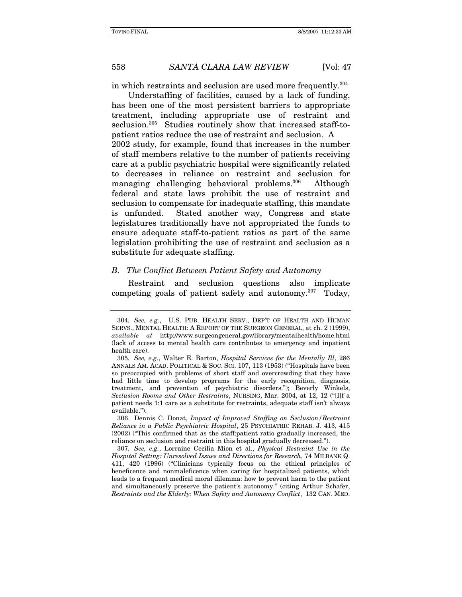in which restraints and seclusion are used more frequently.<sup>304</sup>

Understaffing of facilities, caused by a lack of funding, has been one of the most persistent barriers to appropriate treatment, including appropriate use of restraint and seclusion.<sup>305</sup> Studies routinely show that increased staff-topatient ratios reduce the use of restraint and seclusion. A 2002 study, for example, found that increases in the number of staff members relative to the number of patients receiving care at a public psychiatric hospital were significantly related to decreases in reliance on restraint and seclusion for managing challenging behavioral problems.<sup>306</sup> Although federal and state laws prohibit the use of restraint and seclusion to compensate for inadequate staffing, this mandate is unfunded. Stated another way, Congress and state legislatures traditionally have not appropriated the funds to ensure adequate staff-to-patient ratios as part of the same legislation prohibiting the use of restraint and seclusion as a

#### B. The Conflict Between Patient Safety and Autonomy

substitute for adequate staffing.

Restraint and seclusion questions also implicate competing goals of patient safety and autonomy.307 Today,

 306. Dennis C. Donat, Impact of Improved Staffing on Seclusion/Restraint Reliance in a Public Psychiatric Hospital, 25 PSYCHIATRIC REHAB. J. 413, 415 (2002) ("This confirmed that as the staff:patient ratio gradually increased, the reliance on seclusion and restraint in this hospital gradually decreased.").

307. See, e.g., Lorraine Cecilia Mion et al., Physical Restraint Use in the Hospital Setting: Unresolved Issues and Directions for Research, 74 MILBANK Q. 411, 420 (1996) ("Clinicians typically focus on the ethical principles of beneficence and nonmaleficence when caring for hospitalized patients, which leads to a frequent medical moral dilemma: how to prevent harm to the patient and simultaneously preserve the patient's autonomy." (citing Arthur Schafer, Restraints and the Elderly: When Safety and Autonomy Conflict, 132 CAN. MED.

<sup>304</sup>. See, e.g., U.S. PUB. HEALTH SERV., DEP'T OF HEALTH AND HUMAN SERVS., MENTAL HEALTH: A REPORT OF THE SURGEON GENERAL, at ch. 2 (1999), available at http://www.surgeongeneral.gov/library/mentalhealth/home.html (lack of access to mental health care contributes to emergency and inpatient health care).

<sup>305</sup>. See, e.g., Walter E. Barton, Hospital Services for the Mentally Ill, 286 ANNALS AM. ACAD. POLITICAL & SOC. SCI. 107, 113 (1953) ("Hospitals have been so preoccupied with problems of short staff and overcrowding that they have had little time to develop programs for the early recognition, diagnosis, treatment, and prevention of psychiatric disorders."); Beverly Winkels, Seclusion Rooms and Other Restraints, NURSING, Mar. 2004, at 12, 12 ("[I]f a patient needs 1:1 care as a substitute for restraints, adequate staff isn't always available.").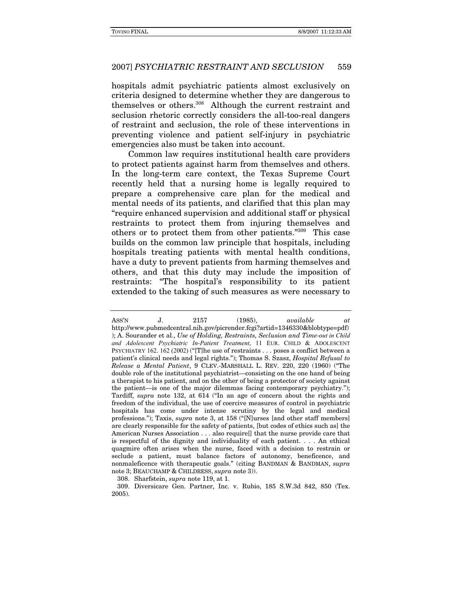hospitals admit psychiatric patients almost exclusively on criteria designed to determine whether they are dangerous to themselves or others.308 Although the current restraint and seclusion rhetoric correctly considers the all-too-real dangers of restraint and seclusion, the role of these interventions in preventing violence and patient self-injury in psychiatric emergencies also must be taken into account.

Common law requires institutional health care providers to protect patients against harm from themselves and others. In the long-term care context, the Texas Supreme Court recently held that a nursing home is legally required to prepare a comprehensive care plan for the medical and mental needs of its patients, and clarified that this plan may "require enhanced supervision and additional staff or physical restraints to protect them from injuring themselves and others or to protect them from other patients."309 This case builds on the common law principle that hospitals, including hospitals treating patients with mental health conditions, have a duty to prevent patients from harming themselves and others, and that this duty may include the imposition of restraints: "The hospital's responsibility to its patient extended to the taking of such measures as were necessary to

308. Sharfstein, supra note 119, at 1.

 $\text{Ass}'\text{N}$  J.  $2157$  (1985), available at http://www.pubmedcentral.nih.gov/picrender.fcgi?artid=1346330&blobtype=pdf) ); A. Sourander et al., Use of Holding, Restraints, Seclusion and Time-o*ut in Child and Adolescent Psychiatric In-Patient Treatment*, 11 EUR. CHILD & ADOLESCENT PSYCHIATRY 162. 162 (2002) ("[T]he use of restraints . . . poses a conflict between a patient's clinical needs and legal rights."); Thomas S. Szasz, Hospital Refusal to Release a Mental Patient, 9 CLEV.-MARSHALL L. REV. 220, 220 (1960) ("The double role of the institutional psychiatrist—consisting on the one hand of being a therapist to his patient, and on the other of being a protector of society against the patient—is one of the major dilemmas facing contemporary psychiatry."); Tardiff, supra note 132, at 614 ("In an age of concern about the rights and freedom of the individual, the use of coercive measures of control in psychiatric hospitals has come under intense scrutiny by the legal and medical professions."); Taxis, supra note 3, at 158 ("[N]urses [and other staff members] are clearly responsible for the safety of patients, [but codes of ethics such as] the American Nurses Association . . . also require[] that the nurse provide care that is respectful of the dignity and individuality of each patient. . . . An ethical quagmire often arises when the nurse, faced with a decision to restrain or seclude a patient, must balance factors of autonomy, beneficence, and nonmaleficence with therapeutic goals." (citing BANDMAN & BANDMAN, supra note 3; BEAUCHAMP & CHILDRESS, supra note 3)).

 <sup>309.</sup> Diversicare Gen. Partner, Inc. v. Rubio, 185 S.W.3d 842, 850 (Tex. 2005).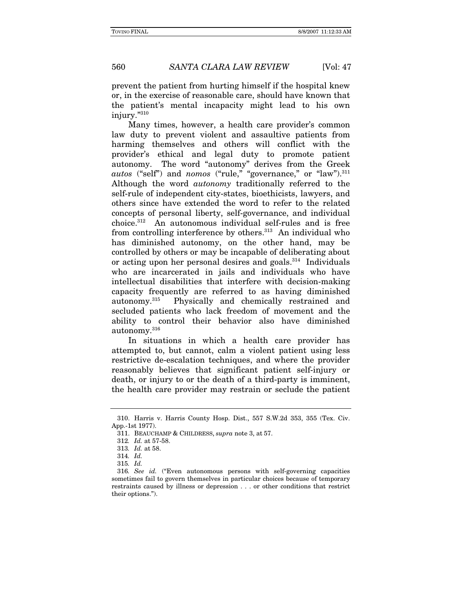prevent the patient from hurting himself if the hospital knew or, in the exercise of reasonable care, should have known that the patient's mental incapacity might lead to his own injury."310

Many times, however, a health care provider's common law duty to prevent violent and assaultive patients from harming themselves and others will conflict with the provider's ethical and legal duty to promote patient autonomy. The word "autonomy" derives from the Greek autos ("self") and nomos ("rule," "governance," or "law"). $311$ Although the word autonomy traditionally referred to the self-rule of independent city-states, bioethicists, lawyers, and others since have extended the word to refer to the related concepts of personal liberty, self-governance, and individual choice.312 An autonomous individual self-rules and is free from controlling interference by others.<sup>313</sup> An individual who has diminished autonomy, on the other hand, may be controlled by others or may be incapable of deliberating about or acting upon her personal desires and goals.314 Individuals who are incarcerated in jails and individuals who have intellectual disabilities that interfere with decision-making capacity frequently are referred to as having diminished autonomy.315 Physically and chemically restrained and secluded patients who lack freedom of movement and the ability to control their behavior also have diminished autonomy.316

In situations in which a health care provider has attempted to, but cannot, calm a violent patient using less restrictive de-escalation techniques, and where the provider reasonably believes that significant patient self-injury or death, or injury to or the death of a third-party is imminent, the health care provider may restrain or seclude the patient

 <sup>310.</sup> Harris v. Harris County Hosp. Dist., 557 S.W.2d 353, 355 (Tex. Civ. App.-1st 1977).

 <sup>311.</sup> BEAUCHAMP & CHILDRESS, supra note 3, at 57.

<sup>312</sup>. Id. at 57-58.

<sup>313</sup>. Id. at 58.

<sup>314</sup>. Id.

<sup>315</sup>. Id.

<sup>316</sup>. See id. ("Even autonomous persons with self-governing capacities sometimes fail to govern themselves in particular choices because of temporary restraints caused by illness or depression . . . or other conditions that restrict their options.").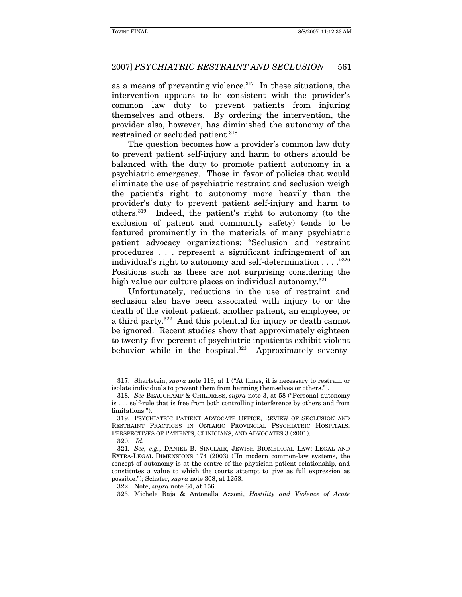as a means of preventing violence. $317$  In these situations, the intervention appears to be consistent with the provider's common law duty to prevent patients from injuring themselves and others. By ordering the intervention, the provider also, however, has diminished the autonomy of the restrained or secluded patient.<sup>318</sup>

The question becomes how a provider's common law duty to prevent patient self-injury and harm to others should be balanced with the duty to promote patient autonomy in a psychiatric emergency. Those in favor of policies that would eliminate the use of psychiatric restraint and seclusion weigh the patient's right to autonomy more heavily than the provider's duty to prevent patient self-injury and harm to others.319 Indeed, the patient's right to autonomy (to the exclusion of patient and community safety) tends to be featured prominently in the materials of many psychiatric patient advocacy organizations: "Seclusion and restraint procedures . . . represent a significant infringement of an individual's right to autonomy and self-determination . . . ."320 Positions such as these are not surprising considering the high value our culture places on individual autonomy.<sup>321</sup>

Unfortunately, reductions in the use of restraint and seclusion also have been associated with injury to or the death of the violent patient, another patient, an employee, or a third party.322 And this potential for injury or death cannot be ignored. Recent studies show that approximately eighteen to twenty-five percent of psychiatric inpatients exhibit violent behavior while in the hospital.<sup>323</sup> Approximately seventy-

322. Note, supra note 64, at 156.

 <sup>317.</sup> Sharfstein, supra note 119, at 1 ("At times, it is necessary to restrain or isolate individuals to prevent them from harming themselves or others.").

<sup>318</sup>. See BEAUCHAMP & CHILDRESS, supra note 3, at 58 ("Personal autonomy is . . . self-rule that is free from both controlling interference by others and from limitations.").

 <sup>319.</sup> PSYCHIATRIC PATIENT ADVOCATE OFFICE, REVIEW OF SECLUSION AND RESTRAINT PRACTICES IN ONTARIO PROVINCIAL PSYCHIATRIC HOSPITALS: PERSPECTIVES OF PATIENTS, CLINICIANS, AND ADVOCATES 3 (2001).

 <sup>320.</sup> Id.

<sup>321</sup>. See, e.g., DANIEL B. SINCLAIR, JEWISH BIOMEDICAL LAW: LEGAL AND EXTRA-LEGAL DIMENSIONS 174 (2003) ("In modern common-law systems, the concept of autonomy is at the centre of the physician-patient relationship, and constitutes a value to which the courts attempt to give as full expression as possible."); Schafer, supra note 308, at 1258.

 <sup>323.</sup> Michele Raja & Antonella Azzoni, Hostility and Violence of Acute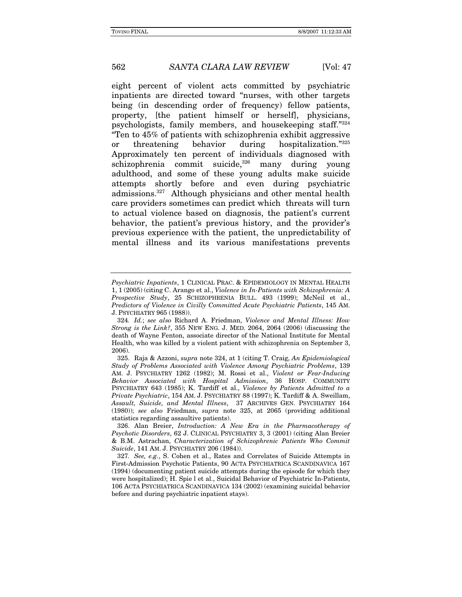eight percent of violent acts committed by psychiatric inpatients are directed toward "nurses, with other targets being (in descending order of frequency) fellow patients, property, [the patient himself or herself], physicians, psychologists, family members, and housekeeping staff."324 "Ten to 45% of patients with schizophrenia exhibit aggressive or threatening behavior during hospitalization."325 Approximately ten percent of individuals diagnosed with schizophrenia commit suicide,<sup>326</sup> many during young adulthood, and some of these young adults make suicide attempts shortly before and even during psychiatric admissions.327 Although physicians and other mental health care providers sometimes can predict which threats will turn to actual violence based on diagnosis, the patient's current behavior, the patient's previous history, and the provider's previous experience with the patient, the unpredictability of mental illness and its various manifestations prevents

Psychiatric Inpatients, 1 CLINICAL PRAC. & EPIDEMIOLOGY IN MENTAL HEALTH 1, 1 (2005) (citing C. Arango et al., Violence in In-Patients with Schizophrenia: A Prospective Study, 25 SCHIZOPHRENIA BULL. 493 (1999); McNeil et al., Predictors of Violence in Civilly Committed Acute Psychiatric Patients, 145 AM. J. PSYCHIATRY 965 (1988)).

<sup>324</sup>. Id.; see also Richard A. Friedman, Violence and Mental Illness: How Strong is the Link?, 355 NEW ENG. J. MED. 2064, 2064 (2006) (discussing the death of Wayne Fenton, associate director of the National Institute for Mental Health, who was killed by a violent patient with schizophrenia on September 3, 2006).

 <sup>325.</sup> Raja & Azzoni, supra note 324, at 1 (citing T. Craig, An Epidemiological Study of Problems Associated with Violence Among Psychiatric Problems, 139 AM. J. PSYCHIATRY 1262 (1982); M. Rossi et al., Violent or Fear-Inducing Behavior Associated with Hospital Admission, 36 HOSP. COMMUNITY PSYCHIATRY 643 (1985); K. Tardiff et al., Violence by Patients Admitted to a Private Psychiatric, 154 AM. J. PSYCHIATRY 88 (1997); K. Tardiff & A. Sweillam, Assault, Suicide, and Mental Illness, 37 ARCHIVES GEN. PSYCHIATRY 164 (1980)); see also Friedman, supra note 325, at 2065 (providing additional statistics regarding assaultive patients).

 <sup>326.</sup> Alan Breier, Introduction: A New Era in the Pharmacotherapy of Psychotic Disorders, 62 J. CLINICAL PSYCHIATRY 3, 3 (2001) (citing Alan Breier & B.M. Astrachan, Characterization of Schizophrenic Patients Who Commit Suicide, 141 AM. J. PSYCHIATRY 206 (1984)).

<sup>327</sup>. See, e.g., S. Cohen et al., Rates and Correlates of Suicide Attempts in First-Admission Psychotic Patients, 90 ACTA PSYCHIATRICA SCANDINAVICA 167 (1994) (documenting patient suicide attempts during the episode for which they were hospitalized); H. Spie l et al., Suicidal Behavior of Psychiatric In-Patients, 106 ACTA PSYCHIATRICA SCANDINAVICA 134 (2002) (examining suicidal behavior before and during psychiatric inpatient stays).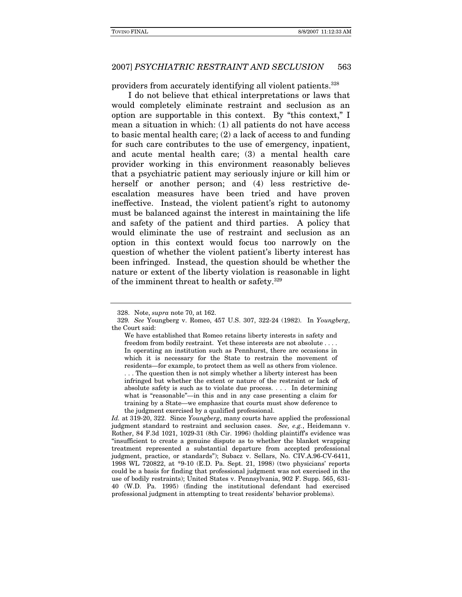providers from accurately identifying all violent patients.328

I do not believe that ethical interpretations or laws that would completely eliminate restraint and seclusion as an option are supportable in this context. By "this context," I mean a situation in which: (1) all patients do not have access to basic mental health care; (2) a lack of access to and funding for such care contributes to the use of emergency, inpatient, and acute mental health care; (3) a mental health care provider working in this environment reasonably believes that a psychiatric patient may seriously injure or kill him or herself or another person; and (4) less restrictive deescalation measures have been tried and have proven ineffective. Instead, the violent patient's right to autonomy must be balanced against the interest in maintaining the life and safety of the patient and third parties. A policy that would eliminate the use of restraint and seclusion as an option in this context would focus too narrowly on the question of whether the violent patient's liberty interest has been infringed. Instead, the question should be whether the nature or extent of the liberty violation is reasonable in light of the imminent threat to health or safety.329

 <sup>328.</sup> Note, supra note 70, at 162.

<sup>329</sup>. See Youngberg v. Romeo, 457 U.S. 307, 322-24 (1982). In Youngberg, the Court said:

We have established that Romeo retains liberty interests in safety and freedom from bodily restraint. Yet these interests are not absolute . . . . In operating an institution such as Pennhurst, there are occasions in which it is necessary for the State to restrain the movement of residents—for example, to protect them as well as others from violence. . . . The question then is not simply whether a liberty interest has been infringed but whether the extent or nature of the restraint or lack of absolute safety is such as to violate due process. . . . In determining what is "reasonable"—in this and in any case presenting a claim for training by a State—we emphasize that courts must show deference to the judgment exercised by a qualified professional.

Id. at 319-20, 322. Since Youngberg, many courts have applied the professional judgment standard to restraint and seclusion cases. See, e.g., Heidemann v. Rother, 84 F.3d 1021, 1029-31 (8th Cir. 1996) (holding plaintiff's evidence was "insufficient to create a genuine dispute as to whether the blanket wrapping treatment represented a substantial departure from accepted professional judgment, practice, or standards"); Subacz v. Sellars, No. CIV.A.96-CV-6411, 1998 WL 720822, at \*9-10 (E.D. Pa. Sept. 21, 1998) (two physicians' reports could be a basis for finding that professional judgment was not exercised in the use of bodily restraints); United States v. Pennsylvania, 902 F. Supp. 565, 631- 40 (W.D. Pa. 1995) (finding the institutional defendant had exercised professional judgment in attempting to treat residents' behavior problems).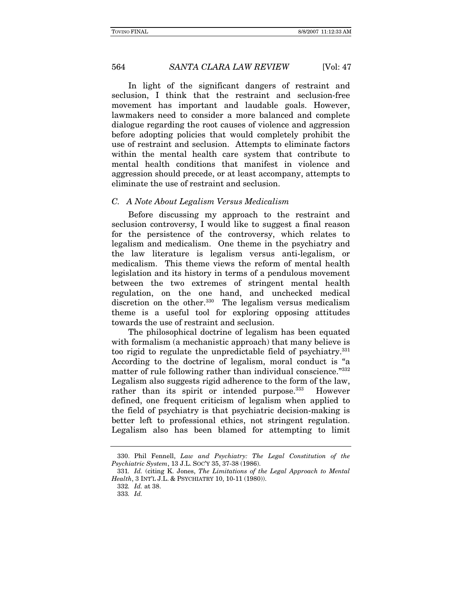In light of the significant dangers of restraint and seclusion, I think that the restraint and seclusion-free movement has important and laudable goals. However, lawmakers need to consider a more balanced and complete dialogue regarding the root causes of violence and aggression before adopting policies that would completely prohibit the use of restraint and seclusion. Attempts to eliminate factors within the mental health care system that contribute to mental health conditions that manifest in violence and aggression should precede, or at least accompany, attempts to eliminate the use of restraint and seclusion.

#### C. A Note About Legalism Versus Medicalism

Before discussing my approach to the restraint and seclusion controversy, I would like to suggest a final reason for the persistence of the controversy, which relates to legalism and medicalism. One theme in the psychiatry and the law literature is legalism versus anti-legalism, or medicalism. This theme views the reform of mental health legislation and its history in terms of a pendulous movement between the two extremes of stringent mental health regulation, on the one hand, and unchecked medical discretion on the other.<sup>330</sup> The legalism versus medicalism theme is a useful tool for exploring opposing attitudes towards the use of restraint and seclusion.

The philosophical doctrine of legalism has been equated with formalism (a mechanistic approach) that many believe is too rigid to regulate the unpredictable field of psychiatry.331 According to the doctrine of legalism, moral conduct is "a matter of rule following rather than individual conscience."<sup>332</sup> Legalism also suggests rigid adherence to the form of the law, rather than its spirit or intended purpose.<sup>333</sup> However defined, one frequent criticism of legalism when applied to the field of psychiatry is that psychiatric decision-making is better left to professional ethics, not stringent regulation. Legalism also has been blamed for attempting to limit

 <sup>330.</sup> Phil Fennell, Law and Psychiatry: The Legal Constitution of the Psychiatric System, 13 J.L. SOC'Y 35, 37-38 (1986).

<sup>331</sup>. Id. (citing K. Jones, The Limitations of the Legal Approach to Mental Health, 3 INT'L J.L. & PSYCHIATRY 10, 10-11 (1980)).

<sup>332</sup>. Id. at 38.

<sup>333</sup>. Id.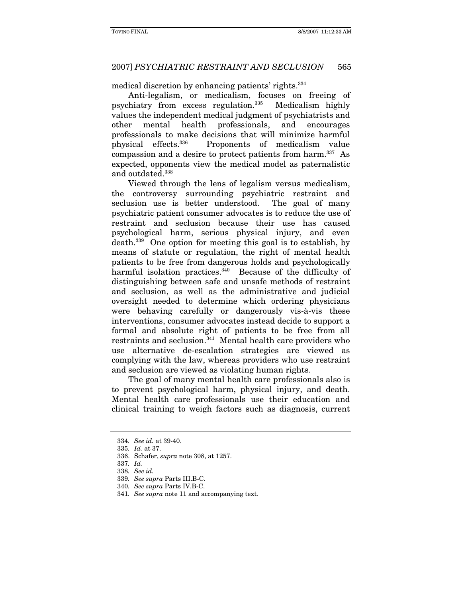medical discretion by enhancing patients' rights.334

Anti-legalism, or medicalism, focuses on freeing of psychiatry from excess regulation.335 Medicalism highly values the independent medical judgment of psychiatrists and other mental health professionals, and encourages professionals to make decisions that will minimize harmful<br>physical effects.<sup>336</sup> Proponents of medicalism value Proponents of medicalism value compassion and a desire to protect patients from harm.337 As expected, opponents view the medical model as paternalistic and outdated.338

Viewed through the lens of legalism versus medicalism, the controversy surrounding psychiatric restraint and seclusion use is better understood. The goal of many psychiatric patient consumer advocates is to reduce the use of restraint and seclusion because their use has caused psychological harm, serious physical injury, and even death.339 One option for meeting this goal is to establish, by means of statute or regulation, the right of mental health patients to be free from dangerous holds and psychologically harmful isolation practices.<sup>340</sup> Because of the difficulty of distinguishing between safe and unsafe methods of restraint and seclusion, as well as the administrative and judicial oversight needed to determine which ordering physicians were behaving carefully or dangerously vis-à-vis these interventions, consumer advocates instead decide to support a formal and absolute right of patients to be free from all restraints and seclusion.341 Mental health care providers who use alternative de-escalation strategies are viewed as complying with the law, whereas providers who use restraint and seclusion are viewed as violating human rights.

The goal of many mental health care professionals also is to prevent psychological harm, physical injury, and death. Mental health care professionals use their education and clinical training to weigh factors such as diagnosis, current

<sup>334</sup>. See id. at 39-40.

<sup>335</sup>. Id. at 37.

 <sup>336.</sup> Schafer, supra note 308, at 1257.

<sup>337</sup>. Id.

<sup>338</sup>. See id.

<sup>339</sup>. See supra Parts III.B-C.

<sup>340</sup>. See supra Parts IV.B-C.

<sup>341</sup>. See supra note 11 and accompanying text.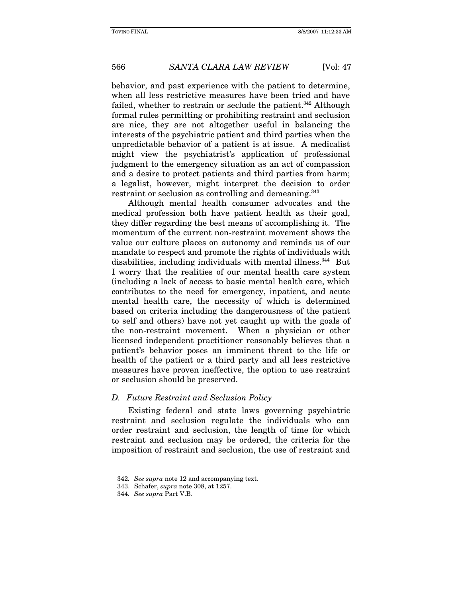behavior, and past experience with the patient to determine, when all less restrictive measures have been tried and have failed, whether to restrain or seclude the patient.<sup>342</sup> Although formal rules permitting or prohibiting restraint and seclusion are nice, they are not altogether useful in balancing the interests of the psychiatric patient and third parties when the unpredictable behavior of a patient is at issue. A medicalist might view the psychiatrist's application of professional judgment to the emergency situation as an act of compassion and a desire to protect patients and third parties from harm; a legalist, however, might interpret the decision to order restraint or seclusion as controlling and demeaning.<sup>343</sup>

Although mental health consumer advocates and the medical profession both have patient health as their goal, they differ regarding the best means of accomplishing it. The momentum of the current non-restraint movement shows the value our culture places on autonomy and reminds us of our mandate to respect and promote the rights of individuals with disabilities, including individuals with mental illness.<sup>344</sup> But I worry that the realities of our mental health care system (including a lack of access to basic mental health care, which contributes to the need for emergency, inpatient, and acute mental health care, the necessity of which is determined based on criteria including the dangerousness of the patient to self and others) have not yet caught up with the goals of the non-restraint movement. When a physician or other licensed independent practitioner reasonably believes that a patient's behavior poses an imminent threat to the life or health of the patient or a third party and all less restrictive measures have proven ineffective, the option to use restraint or seclusion should be preserved.

#### D. Future Restraint and Seclusion Policy

Existing federal and state laws governing psychiatric restraint and seclusion regulate the individuals who can order restraint and seclusion, the length of time for which restraint and seclusion may be ordered, the criteria for the imposition of restraint and seclusion, the use of restraint and

<sup>342</sup>. See supra note 12 and accompanying text.

 <sup>343.</sup> Schafer, supra note 308, at 1257.

<sup>344</sup>. See supra Part V.B.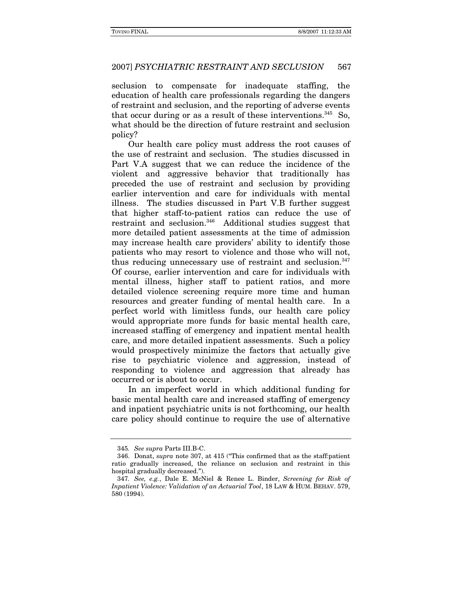seclusion to compensate for inadequate staffing, the education of health care professionals regarding the dangers of restraint and seclusion, and the reporting of adverse events that occur during or as a result of these interventions.<sup>345</sup> So, what should be the direction of future restraint and seclusion policy?

Our health care policy must address the root causes of the use of restraint and seclusion. The studies discussed in Part V.A suggest that we can reduce the incidence of the violent and aggressive behavior that traditionally has preceded the use of restraint and seclusion by providing earlier intervention and care for individuals with mental illness. The studies discussed in Part V.B further suggest that higher staff-to-patient ratios can reduce the use of restraint and seclusion.346 Additional studies suggest that more detailed patient assessments at the time of admission may increase health care providers' ability to identify those patients who may resort to violence and those who will not, thus reducing unnecessary use of restraint and seclusion. $347$ Of course, earlier intervention and care for individuals with mental illness, higher staff to patient ratios, and more detailed violence screening require more time and human resources and greater funding of mental health care. In a perfect world with limitless funds, our health care policy would appropriate more funds for basic mental health care, increased staffing of emergency and inpatient mental health care, and more detailed inpatient assessments. Such a policy would prospectively minimize the factors that actually give rise to psychiatric violence and aggression, instead of responding to violence and aggression that already has occurred or is about to occur.

In an imperfect world in which additional funding for basic mental health care and increased staffing of emergency and inpatient psychiatric units is not forthcoming, our health care policy should continue to require the use of alternative

<sup>345</sup>. See supra Parts III.B-C.

 <sup>346.</sup> Donat, supra note 307, at 415 ("This confirmed that as the staff:patient ratio gradually increased, the reliance on seclusion and restraint in this hospital gradually decreased.").

<sup>347</sup>. See, e.g., Dale E. McNiel & Renee L. Binder, Screening for Risk of Inpatient Violence: Validation of an Actuarial Tool, 18 LAW & HUM. BEHAV. 579, 580 (1994).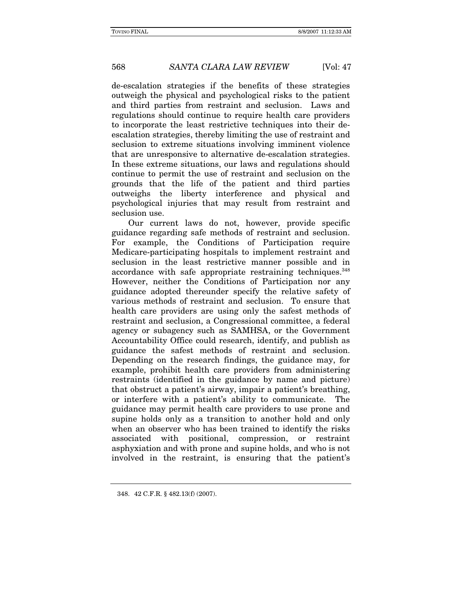de-escalation strategies if the benefits of these strategies outweigh the physical and psychological risks to the patient and third parties from restraint and seclusion. Laws and regulations should continue to require health care providers to incorporate the least restrictive techniques into their deescalation strategies, thereby limiting the use of restraint and seclusion to extreme situations involving imminent violence that are unresponsive to alternative de-escalation strategies. In these extreme situations, our laws and regulations should continue to permit the use of restraint and seclusion on the grounds that the life of the patient and third parties outweighs the liberty interference and physical and psychological injuries that may result from restraint and seclusion use.

Our current laws do not, however, provide specific guidance regarding safe methods of restraint and seclusion. For example, the Conditions of Participation require Medicare-participating hospitals to implement restraint and seclusion in the least restrictive manner possible and in accordance with safe appropriate restraining techniques.<sup>348</sup> However, neither the Conditions of Participation nor any guidance adopted thereunder specify the relative safety of various methods of restraint and seclusion. To ensure that health care providers are using only the safest methods of restraint and seclusion, a Congressional committee, a federal agency or subagency such as SAMHSA, or the Government Accountability Office could research, identify, and publish as guidance the safest methods of restraint and seclusion. Depending on the research findings, the guidance may, for example, prohibit health care providers from administering restraints (identified in the guidance by name and picture) that obstruct a patient's airway, impair a patient's breathing, or interfere with a patient's ability to communicate. The guidance may permit health care providers to use prone and supine holds only as a transition to another hold and only when an observer who has been trained to identify the risks associated with positional, compression, or restraint asphyxiation and with prone and supine holds, and who is not involved in the restraint, is ensuring that the patient's

 <sup>348. 42</sup> C.F.R. § 482.13(f) (2007).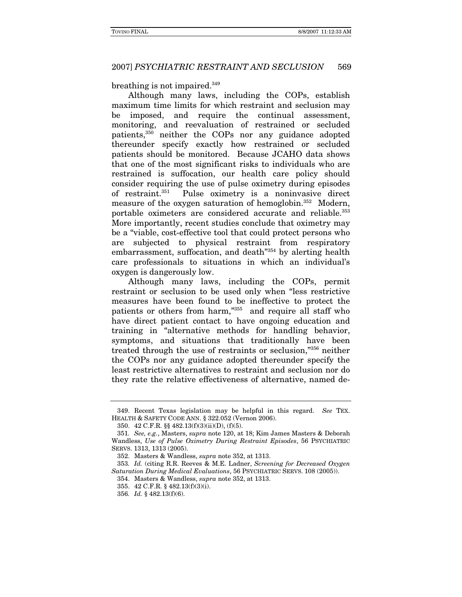breathing is not impaired.349

Although many laws, including the COPs, establish maximum time limits for which restraint and seclusion may be imposed, and require the continual assessment, monitoring, and reevaluation of restrained or secluded patients,350 neither the COPs nor any guidance adopted thereunder specify exactly how restrained or secluded patients should be monitored. Because JCAHO data shows that one of the most significant risks to individuals who are restrained is suffocation, our health care policy should consider requiring the use of pulse oximetry during episodes of restraint.351 Pulse oximetry is a noninvasive direct measure of the oxygen saturation of hemoglobin.<sup>352</sup> Modern, portable oximeters are considered accurate and reliable.<sup>353</sup> More importantly, recent studies conclude that oximetry may be a "viable, cost-effective tool that could protect persons who are subjected to physical restraint from respiratory embarrassment, suffocation, and death"354 by alerting health care professionals to situations in which an individual's oxygen is dangerously low.

Although many laws, including the COPs, permit restraint or seclusion to be used only when "less restrictive measures have been found to be ineffective to protect the patients or others from harm,"355 and require all staff who have direct patient contact to have ongoing education and training in "alternative methods for handling behavior, symptoms, and situations that traditionally have been treated through the use of restraints or seclusion,"356 neither the COPs nor any guidance adopted thereunder specify the least restrictive alternatives to restraint and seclusion nor do they rate the relative effectiveness of alternative, named de-

 <sup>349.</sup> Recent Texas legislation may be helpful in this regard. See TEX. HEALTH & SAFETY CODE ANN. § 322.052 (Vernon 2006).

 <sup>350. 42</sup> C.F.R. §§ 482.13(f)(3)(ii)(D), (f)(5).

<sup>351</sup>. See, e.g., Masters, supra note 120, at 18; Kim James Masters & Deborah Wandless, Use of Pulse Oximetry During Restraint Episodes, 56 PSYCHIATRIC SERVS. 1313, 1313 (2005).

 <sup>352.</sup> Masters & Wandless, supra note 352, at 1313.

<sup>353</sup>. Id. (citing R.R. Reeves & M.E. Ladner, Screening for Decreased Oxygen Saturation During Medical Evaluations, 56 PSYCHIATRIC SERVS. 108 (2005)).

 <sup>354.</sup> Masters & Wandless, supra note 352, at 1313.

 <sup>355. 42</sup> C.F.R. § 482.13(f)(3)(i).

<sup>356</sup>. Id. § 482.13(f)(6).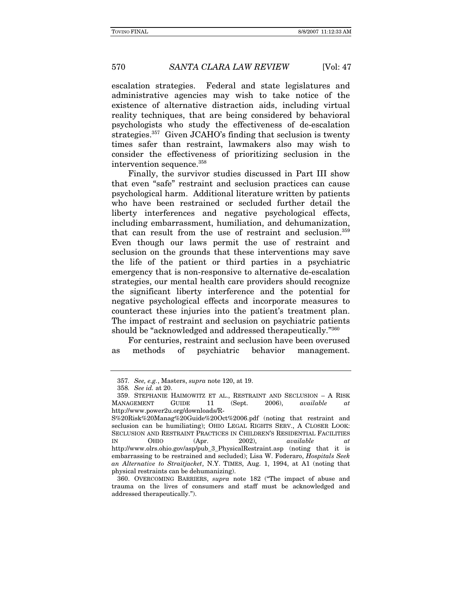escalation strategies. Federal and state legislatures and administrative agencies may wish to take notice of the existence of alternative distraction aids, including virtual reality techniques, that are being considered by behavioral psychologists who study the effectiveness of de-escalation strategies.357 Given JCAHO's finding that seclusion is twenty times safer than restraint, lawmakers also may wish to consider the effectiveness of prioritizing seclusion in the intervention sequence.358

Finally, the survivor studies discussed in Part III show that even "safe" restraint and seclusion practices can cause psychological harm. Additional literature written by patients who have been restrained or secluded further detail the liberty interferences and negative psychological effects, including embarrassment, humiliation, and dehumanization, that can result from the use of restraint and seclusion.359 Even though our laws permit the use of restraint and seclusion on the grounds that these interventions may save the life of the patient or third parties in a psychiatric emergency that is non-responsive to alternative de-escalation strategies, our mental health care providers should recognize the significant liberty interference and the potential for negative psychological effects and incorporate measures to counteract these injuries into the patient's treatment plan. The impact of restraint and seclusion on psychiatric patients should be "acknowledged and addressed therapeutically."360

For centuries, restraint and seclusion have been overused as methods of psychiatric behavior management.

<sup>357</sup>. See, e.g., Masters, supra note 120, at 19.

<sup>358</sup>. See id. at 20.

 <sup>359.</sup> STEPHANIE HAIMOWITZ ET AL., RESTRAINT AND SECLUSION – A RISK MANAGEMENT GUIDE 11 (Sept. 2006), available at http://www.power2u.org/downloads/R-

S%20Risk%20Manag%20Guide%20Oct%2006.pdf (noting that restraint and seclusion can be humiliating); OHIO LEGAL RIGHTS SERV., A CLOSER LOOK: SECLUSION AND RESTRAINT PRACTICES IN CHILDREN'S RESIDENTIAL FACILITIES IN OHIO (Apr. 2002), available at http://www.olrs.ohio.gov/asp/pub\_3\_PhysicalRestraint.asp (noting that it is embarrassing to be restrained and secluded); Lisa W. Foderaro, Hospitals Seek an Alternative to Straitjacket, N.Y. TIMES, Aug. 1, 1994, at A1 (noting that physical restraints can be dehumanizing).

 <sup>360.</sup> OVERCOMING BARRIERS, supra note 182 ("The impact of abuse and trauma on the lives of consumers and staff must be acknowledged and addressed therapeutically.").